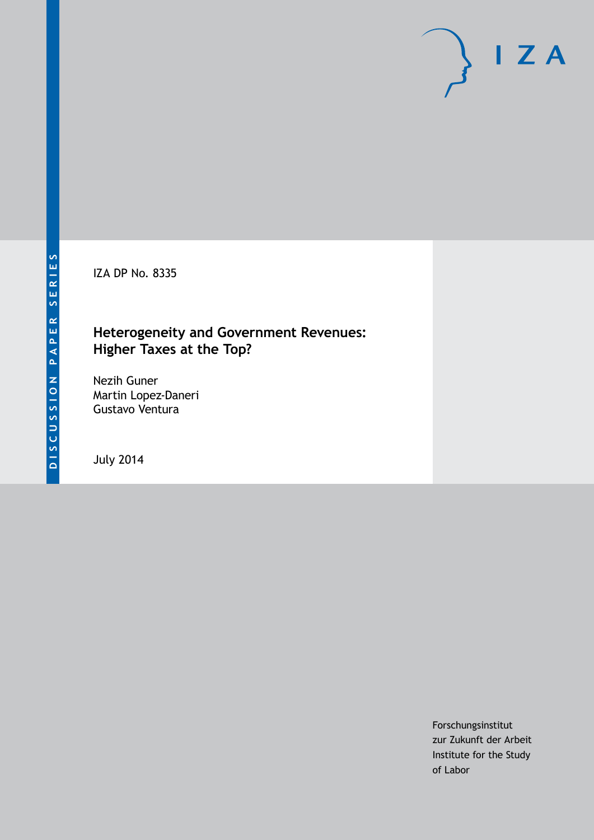IZA DP No. 8335

### **Heterogeneity and Government Revenues: Higher Taxes at the Top?**

Nezih Guner Martin Lopez-Daneri Gustavo Ventura

July 2014

Forschungsinstitut zur Zukunft der Arbeit Institute for the Study of Labor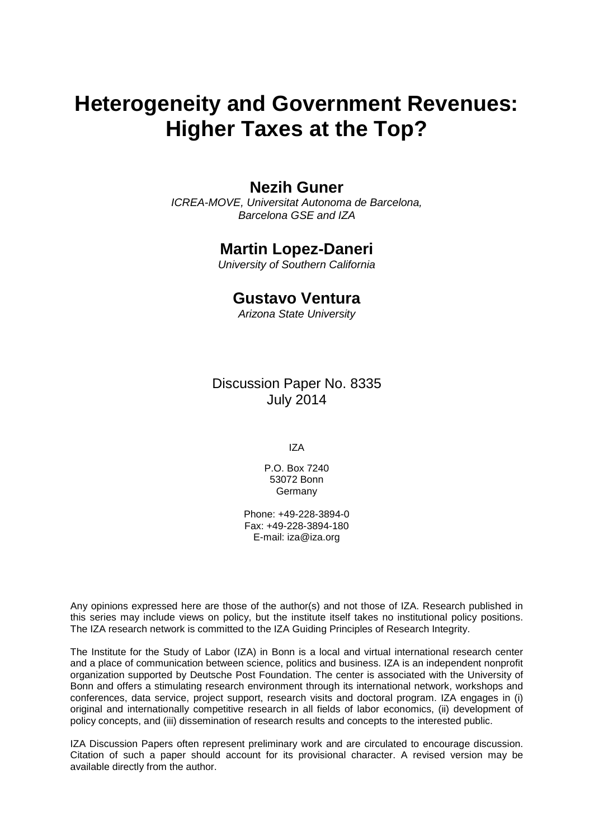# **Heterogeneity and Government Revenues: Higher Taxes at the Top?**

#### **Nezih Guner**

*ICREA-MOVE, Universitat Autonoma de Barcelona, Barcelona GSE and IZA*

#### **Martin Lopez-Daneri**

*University of Southern California*

#### **Gustavo Ventura**

*Arizona State University*

Discussion Paper No. 8335 July 2014

IZA

P.O. Box 7240 53072 Bonn **Germany** 

Phone: +49-228-3894-0 Fax: +49-228-3894-180 E-mail: [iza@iza.org](mailto:iza@iza.org)

Any opinions expressed here are those of the author(s) and not those of IZA. Research published in this series may include views on policy, but the institute itself takes no institutional policy positions. The IZA research network is committed to the IZA Guiding Principles of Research Integrity.

The Institute for the Study of Labor (IZA) in Bonn is a local and virtual international research center and a place of communication between science, politics and business. IZA is an independent nonprofit organization supported by Deutsche Post Foundation. The center is associated with the University of Bonn and offers a stimulating research environment through its international network, workshops and conferences, data service, project support, research visits and doctoral program. IZA engages in (i) original and internationally competitive research in all fields of labor economics, (ii) development of policy concepts, and (iii) dissemination of research results and concepts to the interested public.

<span id="page-1-0"></span>IZA Discussion Papers often represent preliminary work and are circulated to encourage discussion. Citation of such a paper should account for its provisional character. A revised version may be available directly from the author.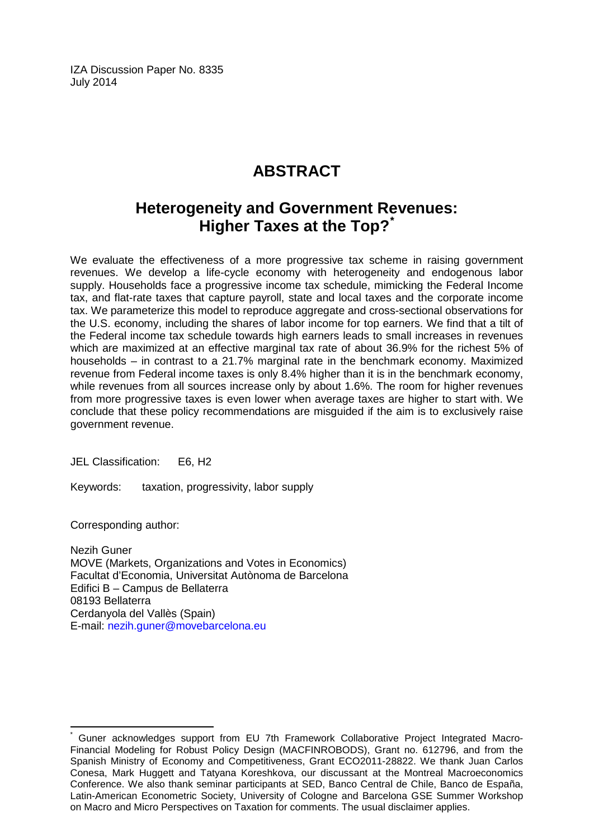IZA Discussion Paper No. 8335 July 2014

## **ABSTRACT**

### **Heterogeneity and Government Revenues: Higher Taxes at the Top?[\\*](#page-1-0)**

We evaluate the effectiveness of a more progressive tax scheme in raising government revenues. We develop a life-cycle economy with heterogeneity and endogenous labor supply. Households face a progressive income tax schedule, mimicking the Federal Income tax, and flat-rate taxes that capture payroll, state and local taxes and the corporate income tax. We parameterize this model to reproduce aggregate and cross-sectional observations for the U.S. economy, including the shares of labor income for top earners. We find that a tilt of the Federal income tax schedule towards high earners leads to small increases in revenues which are maximized at an effective marginal tax rate of about 36.9% for the richest 5% of households – in contrast to a 21.7% marginal rate in the benchmark economy. Maximized revenue from Federal income taxes is only 8.4% higher than it is in the benchmark economy, while revenues from all sources increase only by about 1.6%. The room for higher revenues from more progressive taxes is even lower when average taxes are higher to start with. We conclude that these policy recommendations are misguided if the aim is to exclusively raise government revenue.

JEL Classification: E6, H2

Keywords: taxation, progressivity, labor supply

Corresponding author:

Nezih Guner MOVE (Markets, Organizations and Votes in Economics) Facultat d'Economia, Universitat Autònoma de Barcelona Edifici B – Campus de Bellaterra 08193 Bellaterra Cerdanyola del Vallès (Spain) E-mail: [nezih.guner@movebarcelona.eu](mailto:nezih.guner@movebarcelona.eu)

Guner acknowledges support from EU 7th Framework Collaborative Project Integrated Macro-Financial Modeling for Robust Policy Design (MACFINROBODS), Grant no. 612796, and from the Spanish Ministry of Economy and Competitiveness, Grant ECO2011-28822. We thank Juan Carlos Conesa, Mark Huggett and Tatyana Koreshkova, our discussant at the Montreal Macroeconomics Conference. We also thank seminar participants at SED, Banco Central de Chile, Banco de España, Latin-American Econometric Society, University of Cologne and Barcelona GSE Summer Workshop on Macro and Micro Perspectives on Taxation for comments. The usual disclaimer applies.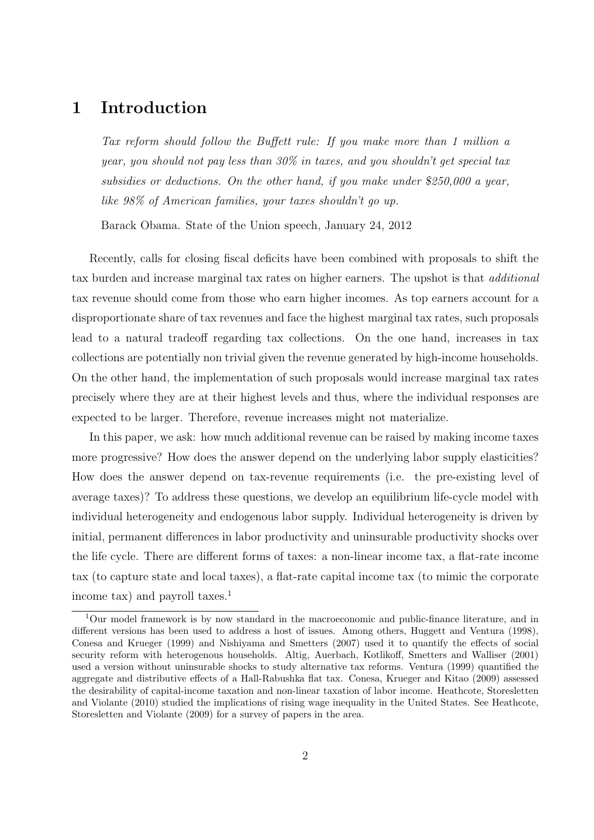### **1 Introduction**

*Tax reform should follow the Buffett rule: If you make more than 1 million a year, you should not pay less than 30% in taxes, and you shouldn't get special tax subsidies or deductions. On the other hand, if you make under \$250,000 a year, like 98% of American families, your taxes shouldn't go up.*

Barack Obama. State of the Union speech, January 24, 2012

Recently, calls for closing fiscal deficits have been combined with proposals to shift the tax burden and increase marginal tax rates on higher earners. The upshot is that *additional* tax revenue should come from those who earn higher incomes. As top earners account for a disproportionate share of tax revenues and face the highest marginal tax rates, such proposals lead to a natural tradeoff regarding tax collections. On the one hand, increases in tax collections are potentially non trivial given the revenue generated by high-income households. On the other hand, the implementation of such proposals would increase marginal tax rates precisely where they are at their highest levels and thus, where the individual responses are expected to be larger. Therefore, revenue increases might not materialize.

In this paper, we ask: how much additional revenue can be raised by making income taxes more progressive? How does the answer depend on the underlying labor supply elasticities? How does the answer depend on tax-revenue requirements (i.e. the pre-existing level of average taxes)? To address these questions, we develop an equilibrium life-cycle model with individual heterogeneity and endogenous labor supply. Individual heterogeneity is driven by initial, permanent differences in labor productivity and uninsurable productivity shocks over the life cycle. There are different forms of taxes: a non-linear income tax, a flat-rate income tax (to capture state and local taxes), a flat-rate capital income tax (to mimic the corporate income tax) and payroll taxes.<sup>1</sup>

 $1$ Our model framework is by now standard in the macroeconomic and public-finance literature, and in different versions has been used to address a host of issues. Among others, Huggett and Ventura (1998), Conesa and Krueger (1999) and Nishiyama and Smetters (2007) used it to quantify the effects of social security reform with heterogenous households. Altig, Auerbach, Kotlikoff, Smetters and Walliser (2001) used a version without uninsurable shocks to study alternative tax reforms. Ventura (1999) quantified the aggregate and distributive effects of a Hall-Rabushka flat tax. Conesa, Krueger and Kitao (2009) assessed the desirability of capital-income taxation and non-linear taxation of labor income. Heathcote, Storesletten and Violante (2010) studied the implications of rising wage inequality in the United States. See Heathcote, Storesletten and Violante (2009) for a survey of papers in the area.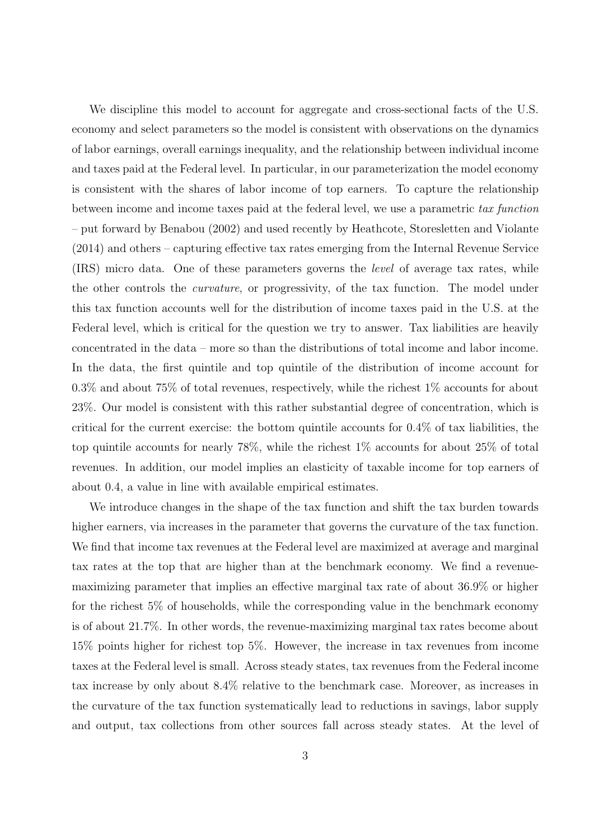We discipline this model to account for aggregate and cross-sectional facts of the U.S. economy and select parameters so the model is consistent with observations on the dynamics of labor earnings, overall earnings inequality, and the relationship between individual income and taxes paid at the Federal level. In particular, in our parameterization the model economy is consistent with the shares of labor income of top earners. To capture the relationship between income and income taxes paid at the federal level, we use a parametric *tax function* – put forward by Benabou (2002) and used recently by Heathcote, Storesletten and Violante (2014) and others – capturing effective tax rates emerging from the Internal Revenue Service (IRS) micro data. One of these parameters governs the *level* of average tax rates, while the other controls the *curvature*, or progressivity, of the tax function. The model under this tax function accounts well for the distribution of income taxes paid in the U.S. at the Federal level, which is critical for the question we try to answer. Tax liabilities are heavily concentrated in the data – more so than the distributions of total income and labor income. In the data, the first quintile and top quintile of the distribution of income account for 0.3% and about 75% of total revenues, respectively, while the richest 1% accounts for about 23%. Our model is consistent with this rather substantial degree of concentration, which is critical for the current exercise: the bottom quintile accounts for 0.4% of tax liabilities, the top quintile accounts for nearly 78%, while the richest 1% accounts for about 25% of total revenues. In addition, our model implies an elasticity of taxable income for top earners of about 0.4, a value in line with available empirical estimates.

We introduce changes in the shape of the tax function and shift the tax burden towards higher earners, via increases in the parameter that governs the curvature of the tax function. We find that income tax revenues at the Federal level are maximized at average and marginal tax rates at the top that are higher than at the benchmark economy. We find a revenuemaximizing parameter that implies an effective marginal tax rate of about 36.9% or higher for the richest 5% of households, while the corresponding value in the benchmark economy is of about 21.7%. In other words, the revenue-maximizing marginal tax rates become about 15% points higher for richest top 5%. However, the increase in tax revenues from income taxes at the Federal level is small. Across steady states, tax revenues from the Federal income tax increase by only about 8.4% relative to the benchmark case. Moreover, as increases in the curvature of the tax function systematically lead to reductions in savings, labor supply and output, tax collections from other sources fall across steady states. At the level of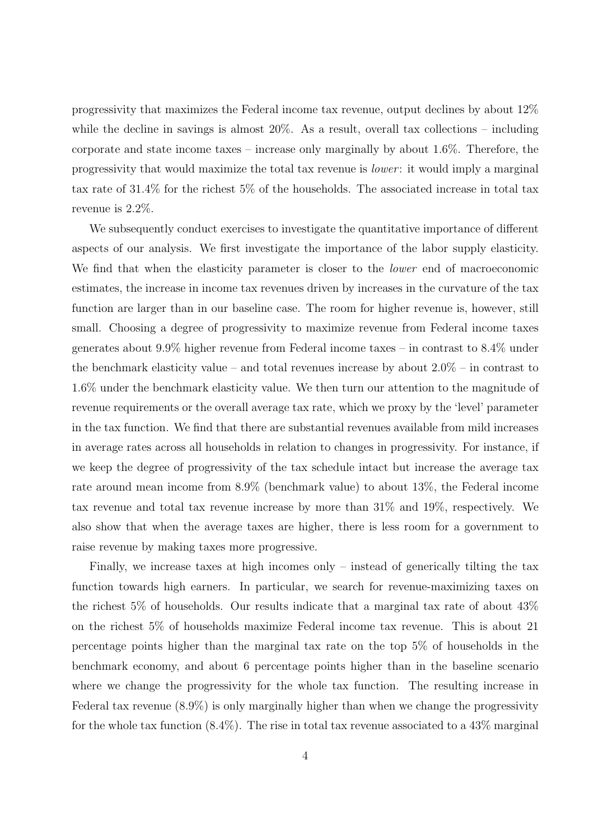progressivity that maximizes the Federal income tax revenue, output declines by about 12% while the decline in savings is almost 20%. As a result, overall tax collections – including corporate and state income taxes – increase only marginally by about 1.6%. Therefore, the progressivity that would maximize the total tax revenue is *lower* : it would imply a marginal tax rate of 31.4% for the richest 5% of the households. The associated increase in total tax revenue is 2.2%.

We subsequently conduct exercises to investigate the quantitative importance of different aspects of our analysis. We first investigate the importance of the labor supply elasticity. We find that when the elasticity parameter is closer to the *lower* end of macroeconomic estimates, the increase in income tax revenues driven by increases in the curvature of the tax function are larger than in our baseline case. The room for higher revenue is, however, still small. Choosing a degree of progressivity to maximize revenue from Federal income taxes generates about 9.9% higher revenue from Federal income taxes – in contrast to 8.4% under the benchmark elasticity value – and total revenues increase by about  $2.0\%$  – in contrast to 1.6% under the benchmark elasticity value. We then turn our attention to the magnitude of revenue requirements or the overall average tax rate, which we proxy by the 'level' parameter in the tax function. We find that there are substantial revenues available from mild increases in average rates across all households in relation to changes in progressivity. For instance, if we keep the degree of progressivity of the tax schedule intact but increase the average tax rate around mean income from 8.9% (benchmark value) to about 13%, the Federal income tax revenue and total tax revenue increase by more than 31% and 19%, respectively. We also show that when the average taxes are higher, there is less room for a government to raise revenue by making taxes more progressive.

Finally, we increase taxes at high incomes only – instead of generically tilting the tax function towards high earners. In particular, we search for revenue-maximizing taxes on the richest 5% of households. Our results indicate that a marginal tax rate of about 43% on the richest 5% of households maximize Federal income tax revenue. This is about 21 percentage points higher than the marginal tax rate on the top 5% of households in the benchmark economy, and about 6 percentage points higher than in the baseline scenario where we change the progressivity for the whole tax function. The resulting increase in Federal tax revenue (8.9%) is only marginally higher than when we change the progressivity for the whole tax function  $(8.4\%)$ . The rise in total tax revenue associated to a  $43\%$  marginal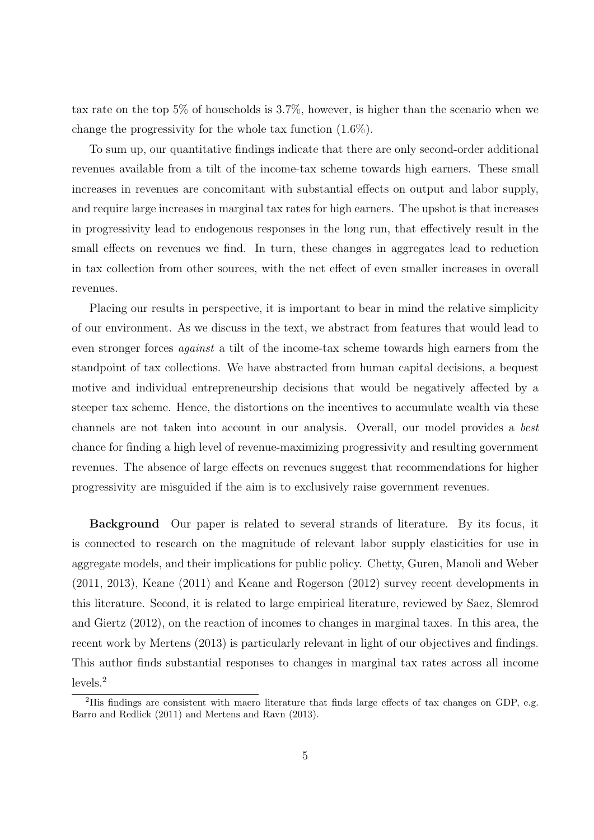tax rate on the top 5% of households is 3.7%, however, is higher than the scenario when we change the progressivity for the whole tax function (1.6%).

To sum up, our quantitative findings indicate that there are only second-order additional revenues available from a tilt of the income-tax scheme towards high earners. These small increases in revenues are concomitant with substantial effects on output and labor supply, and require large increases in marginal tax rates for high earners. The upshot is that increases in progressivity lead to endogenous responses in the long run, that effectively result in the small effects on revenues we find. In turn, these changes in aggregates lead to reduction in tax collection from other sources, with the net effect of even smaller increases in overall revenues.

Placing our results in perspective, it is important to bear in mind the relative simplicity of our environment. As we discuss in the text, we abstract from features that would lead to even stronger forces *against* a tilt of the income-tax scheme towards high earners from the standpoint of tax collections. We have abstracted from human capital decisions, a bequest motive and individual entrepreneurship decisions that would be negatively affected by a steeper tax scheme. Hence, the distortions on the incentives to accumulate wealth via these channels are not taken into account in our analysis. Overall, our model provides a *best* chance for finding a high level of revenue-maximizing progressivity and resulting government revenues. The absence of large effects on revenues suggest that recommendations for higher progressivity are misguided if the aim is to exclusively raise government revenues.

**Background** Our paper is related to several strands of literature. By its focus, it is connected to research on the magnitude of relevant labor supply elasticities for use in aggregate models, and their implications for public policy. Chetty, Guren, Manoli and Weber (2011, 2013), Keane (2011) and Keane and Rogerson (2012) survey recent developments in this literature. Second, it is related to large empirical literature, reviewed by Saez, Slemrod and Giertz (2012), on the reaction of incomes to changes in marginal taxes. In this area, the recent work by Mertens (2013) is particularly relevant in light of our objectives and findings. This author finds substantial responses to changes in marginal tax rates across all income levels.<sup>2</sup>

<sup>2</sup>His findings are consistent with macro literature that finds large effects of tax changes on GDP, e.g. Barro and Redlick (2011) and Mertens and Ravn (2013).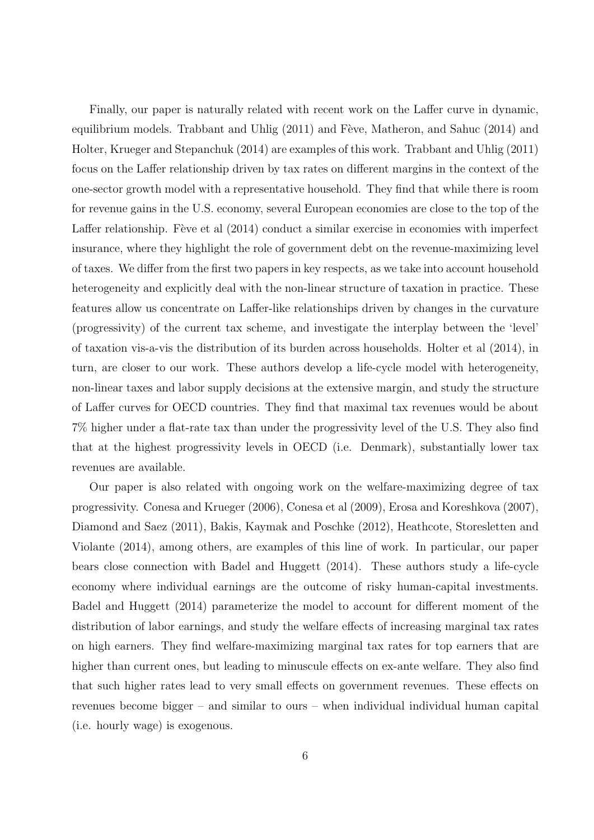Finally, our paper is naturally related with recent work on the Laffer curve in dynamic, equilibrium models. Trabbant and Uhlig  $(2011)$  and Fève, Matheron, and Sahuc  $(2014)$  and Holter, Krueger and Stepanchuk (2014) are examples of this work. Trabbant and Uhlig (2011) focus on the Laffer relationship driven by tax rates on different margins in the context of the one-sector growth model with a representative household. They find that while there is room for revenue gains in the U.S. economy, several European economies are close to the top of the Laffer relationship. Fève et al  $(2014)$  conduct a similar exercise in economies with imperfect insurance, where they highlight the role of government debt on the revenue-maximizing level of taxes. We differ from the first two papers in key respects, as we take into account household heterogeneity and explicitly deal with the non-linear structure of taxation in practice. These features allow us concentrate on Laffer-like relationships driven by changes in the curvature (progressivity) of the current tax scheme, and investigate the interplay between the 'level' of taxation vis-a-vis the distribution of its burden across households. Holter et al (2014), in turn, are closer to our work. These authors develop a life-cycle model with heterogeneity, non-linear taxes and labor supply decisions at the extensive margin, and study the structure of Laffer curves for OECD countries. They find that maximal tax revenues would be about 7% higher under a flat-rate tax than under the progressivity level of the U.S. They also find that at the highest progressivity levels in OECD (i.e. Denmark), substantially lower tax revenues are available.

Our paper is also related with ongoing work on the welfare-maximizing degree of tax progressivity. Conesa and Krueger (2006), Conesa et al (2009), Erosa and Koreshkova (2007), Diamond and Saez (2011), Bakis, Kaymak and Poschke (2012), Heathcote, Storesletten and Violante (2014), among others, are examples of this line of work. In particular, our paper bears close connection with Badel and Huggett (2014). These authors study a life-cycle economy where individual earnings are the outcome of risky human-capital investments. Badel and Huggett (2014) parameterize the model to account for different moment of the distribution of labor earnings, and study the welfare effects of increasing marginal tax rates on high earners. They find welfare-maximizing marginal tax rates for top earners that are higher than current ones, but leading to minuscule effects on ex-ante welfare. They also find that such higher rates lead to very small effects on government revenues. These effects on revenues become bigger – and similar to ours – when individual individual human capital (i.e. hourly wage) is exogenous.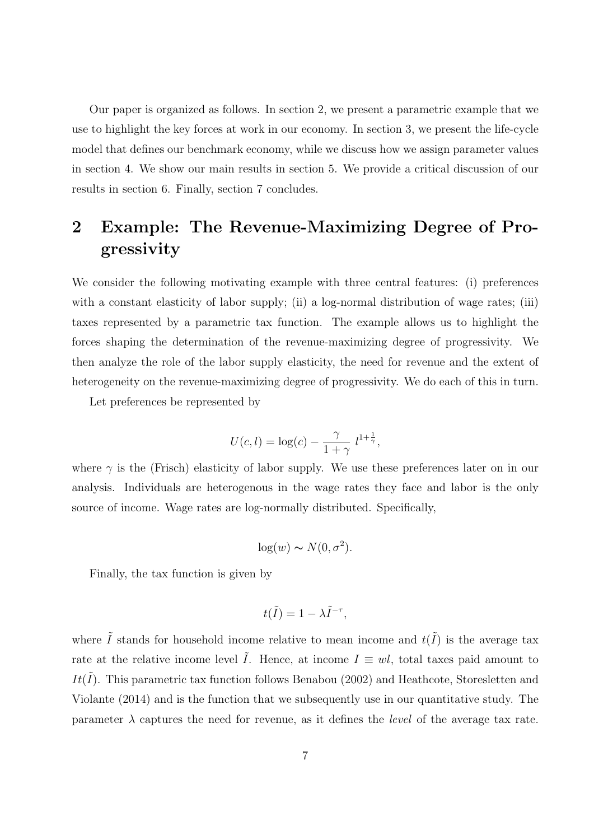Our paper is organized as follows. In section 2, we present a parametric example that we use to highlight the key forces at work in our economy. In section 3, we present the life-cycle model that defines our benchmark economy, while we discuss how we assign parameter values in section 4. We show our main results in section 5. We provide a critical discussion of our results in section 6. Finally, section 7 concludes.

## **2 Example: The Revenue-Maximizing Degree of Progressivity**

We consider the following motivating example with three central features: (i) preferences with a constant elasticity of labor supply; (ii) a log-normal distribution of wage rates; (iii) taxes represented by a parametric tax function. The example allows us to highlight the forces shaping the determination of the revenue-maximizing degree of progressivity. We then analyze the role of the labor supply elasticity, the need for revenue and the extent of heterogeneity on the revenue-maximizing degree of progressivity. We do each of this in turn.

Let preferences be represented by

$$
U(c, l) = \log(c) - \frac{\gamma}{1 + \gamma} l^{1 + \frac{1}{\gamma}},
$$

where  $\gamma$  is the (Frisch) elasticity of labor supply. We use these preferences later on in our analysis. Individuals are heterogenous in the wage rates they face and labor is the only source of income. Wage rates are log-normally distributed. Specifically,

$$
\log(w) \sim N(0, \sigma^2).
$$

Finally, the tax function is given by

$$
t(\tilde{I}) = 1 - \lambda \tilde{I}^{-\tau},
$$

where  $\tilde{I}$  stands for household income relative to mean income and  $t(\tilde{I})$  is the average tax rate at the relative income level  $\tilde{I}$ . Hence, at income  $I \equiv w l$ , total taxes paid amount to *It*( $I$ ). This parametric tax function follows Benabou (2002) and Heathcote, Storesletten and Violante (2014) and is the function that we subsequently use in our quantitative study. The parameter  $\lambda$  captures the need for revenue, as it defines the *level* of the average tax rate.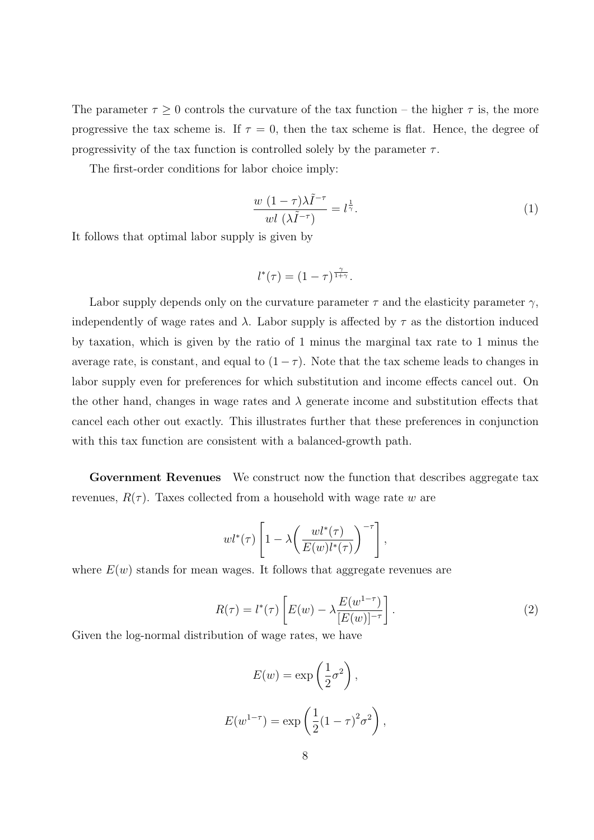The parameter  $\tau \geq 0$  controls the curvature of the tax function – the higher  $\tau$  is, the more progressive the tax scheme is. If  $\tau = 0$ , then the tax scheme is flat. Hence, the degree of progressivity of the tax function is controlled solely by the parameter  $\tau$ .

The first-order conditions for labor choice imply:

$$
\frac{w(1-\tau)\lambda \tilde{I}^{-\tau}}{w l(\lambda \tilde{I}^{-\tau})} = l^{\frac{1}{\gamma}}.
$$
\n(1)

It follows that optimal labor supply is given by

$$
l^*(\tau) = (1 - \tau)^{\frac{\gamma}{1 + \gamma}}.
$$

Labor supply depends only on the curvature parameter  $\tau$  and the elasticity parameter  $\gamma$ , independently of wage rates and  $\lambda$ . Labor supply is affected by  $\tau$  as the distortion induced by taxation, which is given by the ratio of 1 minus the marginal tax rate to 1 minus the average rate, is constant, and equal to  $(1 - \tau)$ . Note that the tax scheme leads to changes in labor supply even for preferences for which substitution and income effects cancel out. On the other hand, changes in wage rates and  $\lambda$  generate income and substitution effects that cancel each other out exactly. This illustrates further that these preferences in conjunction with this tax function are consistent with a balanced-growth path.

**Government Revenues** We construct now the function that describes aggregate tax revenues,  $R(\tau)$ . Taxes collected from a household with wage rate *w* are

$$
wl^{*}(\tau)\left[1-\lambda\left(\frac{wl^{*}(\tau)}{E(w)l^{*}(\tau)}\right)^{-\tau}\right],
$$

where  $E(w)$  stands for mean wages. It follows that aggregate revenues are

$$
R(\tau) = l^*(\tau) \left[ E(w) - \lambda \frac{E(w^{1-\tau})}{[E(w)]^{-\tau}} \right]. \tag{2}
$$

Given the log-normal distribution of wage rates, we have

$$
E(w) = \exp\left(\frac{1}{2}\sigma^2\right),
$$
  

$$
E(w^{1-\tau}) = \exp\left(\frac{1}{2}(1-\tau)^2\sigma^2\right),
$$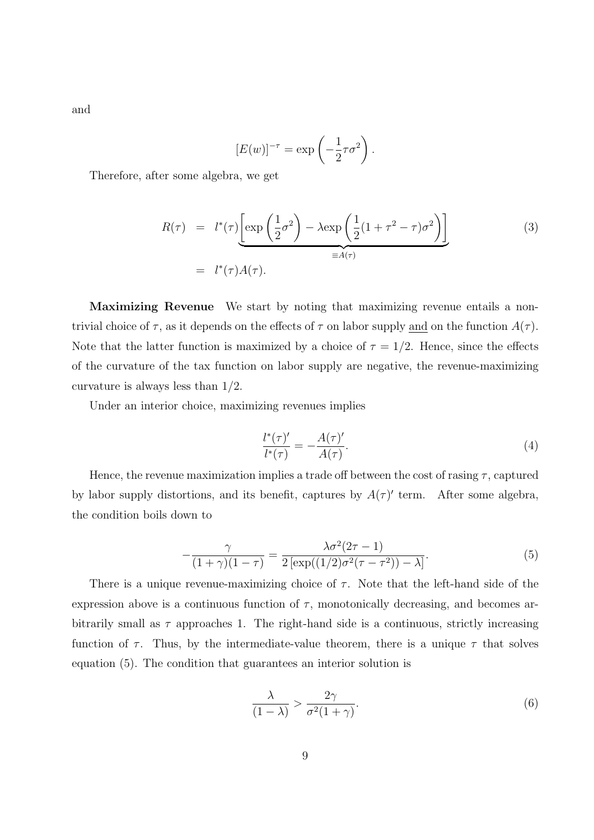and

$$
[E(w)]^{-\tau} = \exp\left(-\frac{1}{2}\tau\sigma^2\right).
$$

Therefore, after some algebra, we get

$$
R(\tau) = l^*(\tau) \underbrace{\left[ \exp\left(\frac{1}{2}\sigma^2\right) - \lambda \exp\left(\frac{1}{2}(1+\tau^2-\tau)\sigma^2\right) \right]}_{\equiv A(\tau)}
$$
(3)  

$$
= l^*(\tau)A(\tau).
$$

**Maximizing Revenue** We start by noting that maximizing revenue entails a nontrivial choice of  $\tau$ , as it depends on the effects of  $\tau$  on labor supply and on the function  $A(\tau)$ . Note that the latter function is maximized by a choice of  $\tau = 1/2$ . Hence, since the effects of the curvature of the tax function on labor supply are negative, the revenue-maximizing curvature is always less than 1*/*2.

Under an interior choice, maximizing revenues implies

$$
\frac{l^*(\tau)'}{l^*(\tau)} = -\frac{A(\tau)'}{A(\tau)}.\tag{4}
$$

Hence, the revenue maximization implies a trade off between the cost of rasing *τ* , captured by labor supply distortions, and its benefit, captures by  $A(\tau)'$  term. After some algebra, the condition boils down to

$$
-\frac{\gamma}{(1+\gamma)(1-\tau)} = \frac{\lambda \sigma^2 (2\tau - 1)}{2 \left[ \exp((1/2)\sigma^2 (\tau - \tau^2)) - \lambda \right]}.
$$
\n(5)

There is a unique revenue-maximizing choice of  $\tau$ . Note that the left-hand side of the expression above is a continuous function of  $\tau$ , monotonically decreasing, and becomes arbitrarily small as  $\tau$  approaches 1. The right-hand side is a continuous, strictly increasing function of  $\tau$ . Thus, by the intermediate-value theorem, there is a unique  $\tau$  that solves equation (5). The condition that guarantees an interior solution is

$$
\frac{\lambda}{(1-\lambda)} > \frac{2\gamma}{\sigma^2(1+\gamma)}.\tag{6}
$$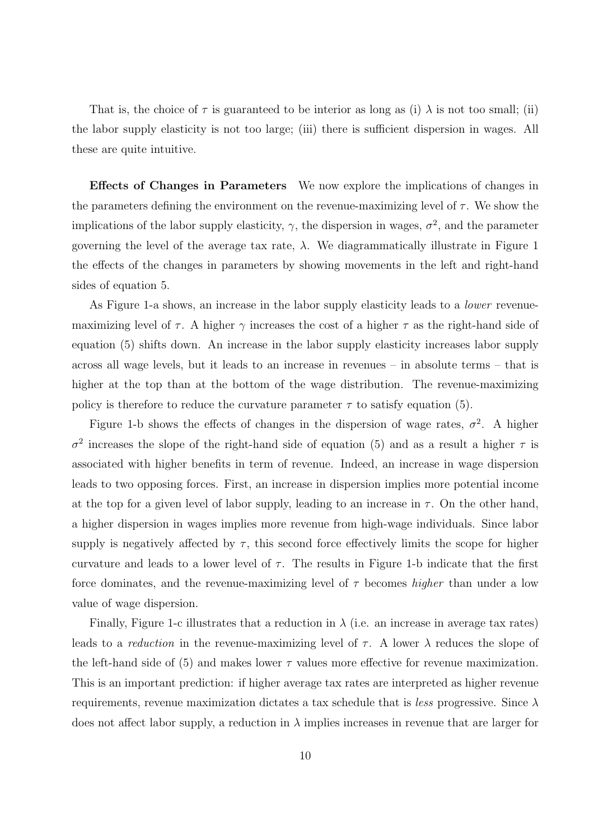That is, the choice of  $\tau$  is guaranteed to be interior as long as (i)  $\lambda$  is not too small; (ii) the labor supply elasticity is not too large; (iii) there is sufficient dispersion in wages. All these are quite intuitive.

**Effects of Changes in Parameters** We now explore the implications of changes in the parameters defining the environment on the revenue-maximizing level of  $\tau$ . We show the implications of the labor supply elasticity,  $\gamma$ , the dispersion in wages,  $\sigma^2$ , and the parameter governing the level of the average tax rate,  $\lambda$ . We diagrammatically illustrate in Figure 1 the effects of the changes in parameters by showing movements in the left and right-hand sides of equation 5.

As Figure 1-a shows, an increase in the labor supply elasticity leads to a *lower* revenuemaximizing level of  $\tau$ . A higher  $\gamma$  increases the cost of a higher  $\tau$  as the right-hand side of equation (5) shifts down. An increase in the labor supply elasticity increases labor supply across all wage levels, but it leads to an increase in revenues – in absolute terms – that is higher at the top than at the bottom of the wage distribution. The revenue-maximizing policy is therefore to reduce the curvature parameter  $\tau$  to satisfy equation (5).

Figure 1-b shows the effects of changes in the dispersion of wage rates,  $\sigma^2$ . A higher  $\sigma^2$  increases the slope of the right-hand side of equation (5) and as a result a higher  $\tau$  is associated with higher benefits in term of revenue. Indeed, an increase in wage dispersion leads to two opposing forces. First, an increase in dispersion implies more potential income at the top for a given level of labor supply, leading to an increase in  $\tau$ . On the other hand, a higher dispersion in wages implies more revenue from high-wage individuals. Since labor supply is negatively affected by  $\tau$ , this second force effectively limits the scope for higher curvature and leads to a lower level of  $\tau$ . The results in Figure 1-b indicate that the first force dominates, and the revenue-maximizing level of *τ* becomes *higher* than under a low value of wage dispersion.

Finally, Figure 1-c illustrates that a reduction in  $\lambda$  (i.e. an increase in average tax rates) leads to a *reduction* in the revenue-maximizing level of  $\tau$ . A lower  $\lambda$  reduces the slope of the left-hand side of (5) and makes lower  $\tau$  values more effective for revenue maximization. This is an important prediction: if higher average tax rates are interpreted as higher revenue requirements, revenue maximization dictates a tax schedule that is *less* progressive. Since *λ* does not affect labor supply, a reduction in  $\lambda$  implies increases in revenue that are larger for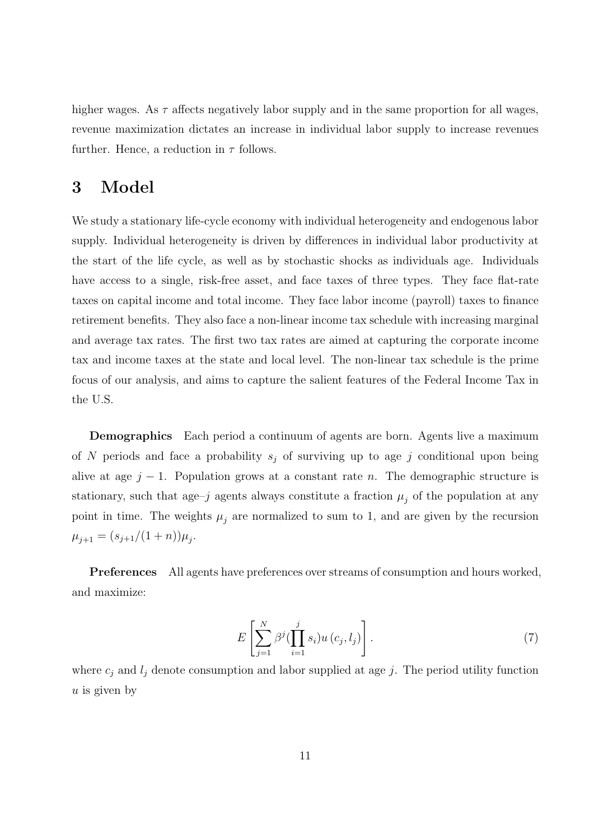higher wages. As  $\tau$  affects negatively labor supply and in the same proportion for all wages, revenue maximization dictates an increase in individual labor supply to increase revenues further. Hence, a reduction in *τ* follows.

### **3 Model**

We study a stationary life-cycle economy with individual heterogeneity and endogenous labor supply. Individual heterogeneity is driven by differences in individual labor productivity at the start of the life cycle, as well as by stochastic shocks as individuals age. Individuals have access to a single, risk-free asset, and face taxes of three types. They face flat-rate taxes on capital income and total income. They face labor income (payroll) taxes to finance retirement benefits. They also face a non-linear income tax schedule with increasing marginal and average tax rates. The first two tax rates are aimed at capturing the corporate income tax and income taxes at the state and local level. The non-linear tax schedule is the prime focus of our analysis, and aims to capture the salient features of the Federal Income Tax in the U.S.

**Demographics** Each period a continuum of agents are born. Agents live a maximum of *N* periods and face a probability  $s_j$  of surviving up to age *j* conditional upon being alive at age  $j - 1$ . Population grows at a constant rate *n*. The demographic structure is stationary, such that age–*j* agents always constitute a fraction  $\mu_j$  of the population at any point in time. The weights  $\mu_j$  are normalized to sum to 1, and are given by the recursion  $\mu_{j+1} = (s_{j+1}/(1+n))\mu_j.$ 

**Preferences** All agents have preferences over streams of consumption and hours worked, and maximize:

$$
E\left[\sum_{j=1}^{N} \beta^{j} \left(\prod_{i=1}^{j} s_{i}\right) u\left(c_{j}, l_{j}\right)\right].
$$
\n(7)

where  $c_j$  and  $l_j$  denote consumption and labor supplied at age *j*. The period utility function *u* is given by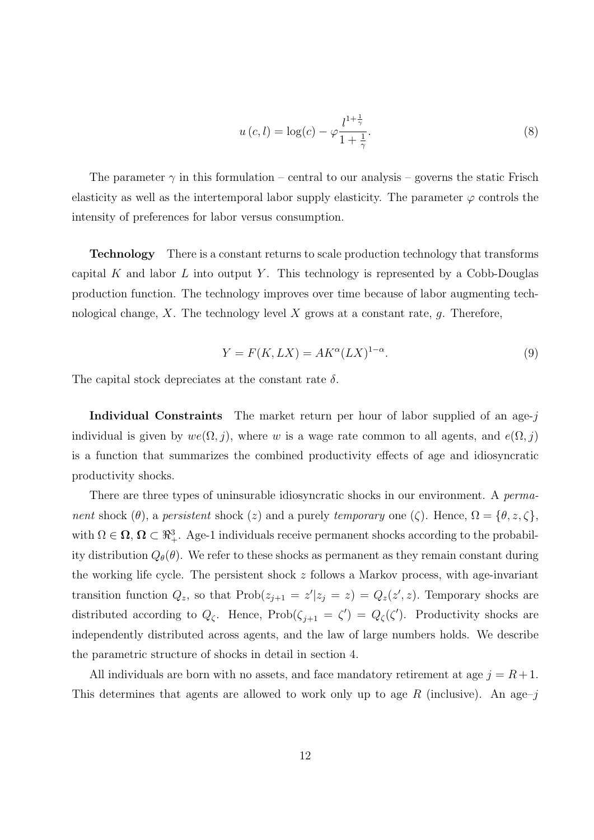$$
u(c, l) = \log(c) - \varphi \frac{l^{1 + \frac{1}{\gamma}}}{1 + \frac{1}{\gamma}}.
$$
\n(8)

The parameter  $\gamma$  in this formulation – central to our analysis – governs the static Frisch elasticity as well as the intertemporal labor supply elasticity. The parameter  $\varphi$  controls the intensity of preferences for labor versus consumption.

**Technology** There is a constant returns to scale production technology that transforms capital *K* and labor *L* into output *Y* . This technology is represented by a Cobb-Douglas production function. The technology improves over time because of labor augmenting technological change, *X*. The technology level *X* grows at a constant rate, *g*. Therefore,

$$
Y = F(K, LX) = AK^{\alpha}(LX)^{1-\alpha}.
$$
\n(9)

The capital stock depreciates at the constant rate *δ*.

**Individual Constraints** The market return per hour of labor supplied of an age-*j* individual is given by  $we(\Omega, j)$ , where *w* is a wage rate common to all agents, and  $e(\Omega, j)$ is a function that summarizes the combined productivity effects of age and idiosyncratic productivity shocks.

There are three types of uninsurable idiosyncratic shocks in our environment. A *permanent* shock  $(\theta)$ , a *persistent* shock  $(z)$  and a purely *temporary* one  $(\zeta)$ . Hence,  $\Omega = {\theta, z, \zeta}$ , with  $\Omega \in \Omega$ ,  $\Omega \subset \mathbb{R}^3_+$ . Age-1 individuals receive permanent shocks according to the probability distribution  $Q_{\theta}(\theta)$ . We refer to these shocks as permanent as they remain constant during the working life cycle. The persistent shock *z* follows a Markov process, with age-invariant transition function  $Q_z$ , so that  $\text{Prob}(z_{j+1} = z'|z_j = z) = Q_z(z', z)$ . Temporary shocks are distributed according to  $Q_{\zeta}$ . Hence,  $\text{Prob}(\zeta_{j+1} = \zeta') = Q_{\zeta}(\zeta')$ . Productivity shocks are independently distributed across agents, and the law of large numbers holds. We describe the parametric structure of shocks in detail in section 4.

All individuals are born with no assets, and face mandatory retirement at age  $j = R + 1$ . This determines that agents are allowed to work only up to age *R* (inclusive). An age–*j*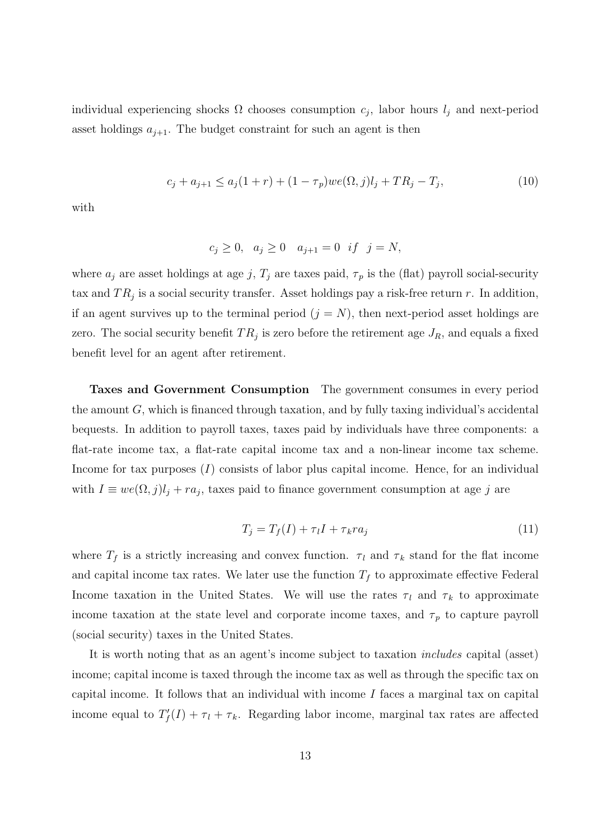individual experiencing shocks  $\Omega$  chooses consumption  $c_j$ , labor hours  $l_j$  and next-period asset holdings  $a_{j+1}$ . The budget constraint for such an agent is then

$$
c_j + a_{j+1} \le a_j(1+r) + (1-\tau_p)we(\Omega, j)l_j + TR_j - T_j,\tag{10}
$$

with

$$
c_j \ge 0
$$
,  $a_j \ge 0$   $a_{j+1} = 0$  if  $j = N$ ,

where  $a_j$  are asset holdings at age *j*,  $T_j$  are taxes paid,  $\tau_p$  is the (flat) payroll social-security tax and  $TR_j$  is a social security transfer. Asset holdings pay a risk-free return  $r$ . In addition, if an agent survives up to the terminal period  $(j = N)$ , then next-period asset holdings are zero. The social security benefit  $TR_j$  is zero before the retirement age  $J_R$ , and equals a fixed benefit level for an agent after retirement.

**Taxes and Government Consumption** The government consumes in every period the amount *G*, which is financed through taxation, and by fully taxing individual's accidental bequests. In addition to payroll taxes, taxes paid by individuals have three components: a flat-rate income tax, a flat-rate capital income tax and a non-linear income tax scheme. Income for tax purposes (*I*) consists of labor plus capital income. Hence, for an individual with  $I \equiv we(\Omega, j)l_j + ra_j$ , taxes paid to finance government consumption at age *j* are

$$
T_j = T_f(I) + \tau_l I + \tau_k r a_j \tag{11}
$$

where  $T_f$  is a strictly increasing and convex function.  $\tau_l$  and  $\tau_k$  stand for the flat income and capital income tax rates. We later use the function  $T_f$  to approximate effective Federal Income taxation in the United States. We will use the rates  $\tau_l$  and  $\tau_k$  to approximate income taxation at the state level and corporate income taxes, and  $\tau_p$  to capture payroll (social security) taxes in the United States.

It is worth noting that as an agent's income subject to taxation *includes* capital (asset) income; capital income is taxed through the income tax as well as through the specific tax on capital income. It follows that an individual with income *I* faces a marginal tax on capital income equal to  $T'_{f}(I) + \tau_{l} + \tau_{k}$ . Regarding labor income, marginal tax rates are affected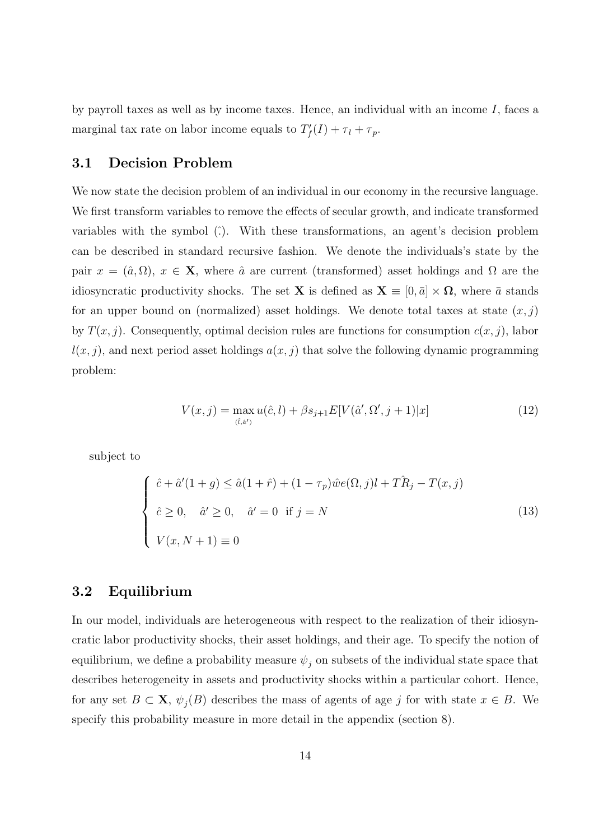by payroll taxes as well as by income taxes. Hence, an individual with an income *I*, faces a marginal tax rate on labor income equals to  $T'_{f}(I) + \tau_{l} + \tau_{p}$ .

#### **3.1 Decision Problem**

We now state the decision problem of an individual in our economy in the recursive language. We first transform variables to remove the effects of secular growth, and indicate transformed variables with the symbol (ˆ*.*). With these transformations, an agent's decision problem can be described in standard recursive fashion. We denote the individuals's state by the pair  $x = (\hat{a}, \Omega)$ ,  $x \in \mathbf{X}$ , where  $\hat{a}$  are current (transformed) asset holdings and  $\Omega$  are the idiosyncratic productivity shocks. The set **X** is defined as  $\mathbf{X} \equiv [0, \bar{a}] \times \Omega$ , where  $\bar{a}$  stands for an upper bound on (normalized) asset holdings. We denote total taxes at state  $(x, j)$ by  $T(x, j)$ . Consequently, optimal decision rules are functions for consumption  $c(x, j)$ , labor  $l(x, j)$ , and next period asset holdings  $a(x, j)$  that solve the following dynamic programming problem:

$$
V(x,j) = \max_{(\hat{c},\hat{a}')} u(\hat{c},l) + \beta s_{j+1} E[V(\hat{a}',\Omega',j+1)|x]
$$
(12)

subject to

$$
\begin{cases}\n\hat{c} + \hat{a}'(1+g) \le \hat{a}(1+\hat{r}) + (1-\tau_p)\hat{w}e(\Omega, j)l + T\hat{R}_j - T(x, j) \\
\hat{c} \ge 0, \quad \hat{a}' \ge 0, \quad \hat{a}' = 0 \quad \text{if } j = N\n\end{cases}
$$
\n(13)\n
$$
V(x, N+1) \equiv 0
$$

#### **3.2 Equilibrium**

In our model, individuals are heterogeneous with respect to the realization of their idiosyncratic labor productivity shocks, their asset holdings, and their age. To specify the notion of equilibrium, we define a probability measure  $\psi_j$  on subsets of the individual state space that describes heterogeneity in assets and productivity shocks within a particular cohort. Hence, for any set  $B \subset \mathbf{X}$ ,  $\psi_j(B)$  describes the mass of agents of age *j* for with state  $x \in B$ . We specify this probability measure in more detail in the appendix (section 8).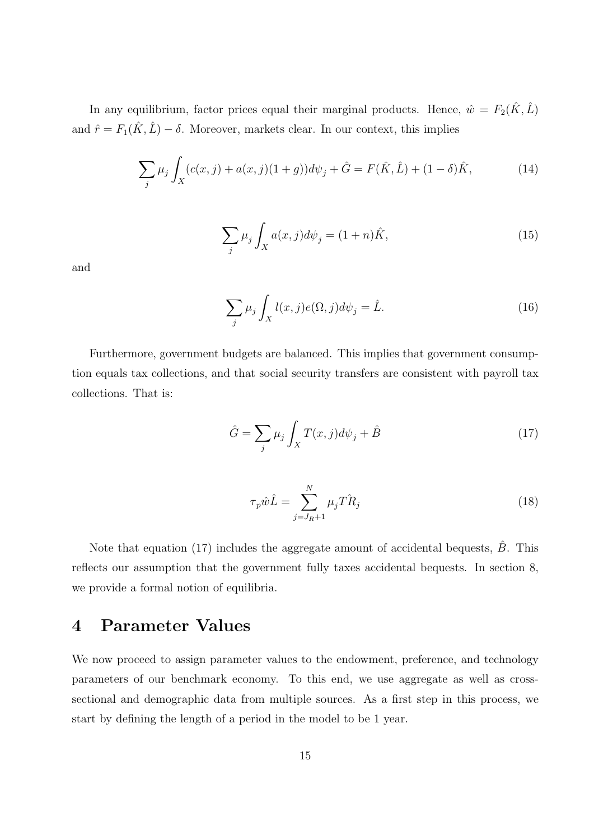In any equilibrium, factor prices equal their marginal products. Hence,  $\hat{w} = F_2(\hat{K}, \hat{L})$ and  $\hat{r} = F_1(\hat{K}, \hat{L}) - \delta$ . Moreover, markets clear. In our context, this implies

$$
\sum_{j} \mu_{j} \int_{X} (c(x, j) + a(x, j)(1 + g)) d\psi_{j} + \hat{G} = F(\hat{K}, \hat{L}) + (1 - \delta)\hat{K},
$$
\n(14)

$$
\sum_{j} \mu_j \int_X a(x,j) d\psi_j = (1+n)\hat{K},\tag{15}
$$

and

$$
\sum_{j} \mu_{j} \int_{X} l(x,j)e(\Omega,j)d\psi_{j} = \hat{L}.
$$
\n(16)

Furthermore, government budgets are balanced. This implies that government consumption equals tax collections, and that social security transfers are consistent with payroll tax collections. That is:

$$
\hat{G} = \sum_{j} \mu_j \int_X T(x, j) d\psi_j + \hat{B}
$$
\n(17)

$$
\tau_p \hat{w}\hat{L} = \sum_{j=J_R+1}^N \mu_j \hat{T} \hat{R}_j \tag{18}
$$

Note that equation (17) includes the aggregate amount of accidental bequests,  $\hat{B}$ . This reflects our assumption that the government fully taxes accidental bequests. In section 8, we provide a formal notion of equilibria.

### **4 Parameter Values**

We now proceed to assign parameter values to the endowment, preference, and technology parameters of our benchmark economy. To this end, we use aggregate as well as crosssectional and demographic data from multiple sources. As a first step in this process, we start by defining the length of a period in the model to be 1 year.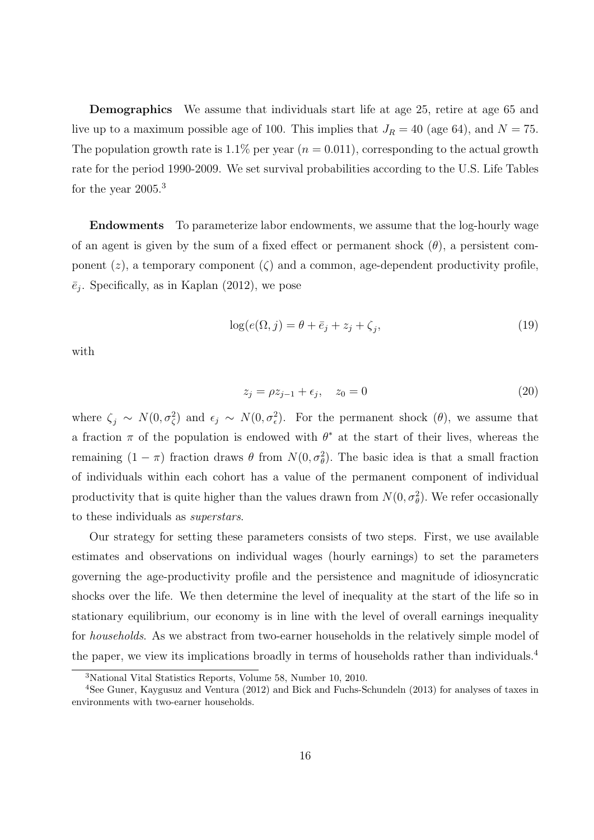**Demographics** We assume that individuals start life at age 25, retire at age 65 and live up to a maximum possible age of 100. This implies that  $J_R = 40$  (age 64), and  $N = 75$ . The population growth rate is 1.1% per year  $(n = 0.011)$ , corresponding to the actual growth rate for the period 1990-2009. We set survival probabilities according to the U.S. Life Tables for the year  $2005.<sup>3</sup>$ 

**Endowments** To parameterize labor endowments, we assume that the log-hourly wage of an agent is given by the sum of a fixed effect or permanent shock  $(\theta)$ , a persistent component  $(z)$ , a temporary component  $(\zeta)$  and a common, age-dependent productivity profile,  $\bar{e}_j$ . Specifically, as in Kaplan (2012), we pose

$$
\log(e(\Omega, j) = \theta + \bar{e}_j + z_j + \zeta_j,\tag{19}
$$

with

$$
z_j = \rho z_{j-1} + \epsilon_j, \quad z_0 = 0 \tag{20}
$$

where  $\zeta_j \sim N(0, \sigma_\zeta^2)$  and  $\epsilon_j \sim N(0, \sigma_\epsilon^2)$ . For the permanent shock  $(\theta)$ , we assume that a fraction  $\pi$  of the population is endowed with  $\theta^*$  at the start of their lives, whereas the remaining  $(1 - π)$  fraction draws  $θ$  from  $N(0, σ<sub>θ</sub><sup>2</sup>)$ . The basic idea is that a small fraction of individuals within each cohort has a value of the permanent component of individual productivity that is quite higher than the values drawn from  $N(0, \sigma_{\theta}^2)$ . We refer occasionally to these individuals as *superstars*.

Our strategy for setting these parameters consists of two steps. First, we use available estimates and observations on individual wages (hourly earnings) to set the parameters governing the age-productivity profile and the persistence and magnitude of idiosyncratic shocks over the life. We then determine the level of inequality at the start of the life so in stationary equilibrium, our economy is in line with the level of overall earnings inequality for *households*. As we abstract from two-earner households in the relatively simple model of the paper, we view its implications broadly in terms of households rather than individuals.<sup>4</sup>

<sup>3</sup>National Vital Statistics Reports, Volume 58, Number 10, 2010.

<sup>4</sup>See Guner, Kaygusuz and Ventura (2012) and Bick and Fuchs-Schundeln (2013) for analyses of taxes in environments with two-earner households.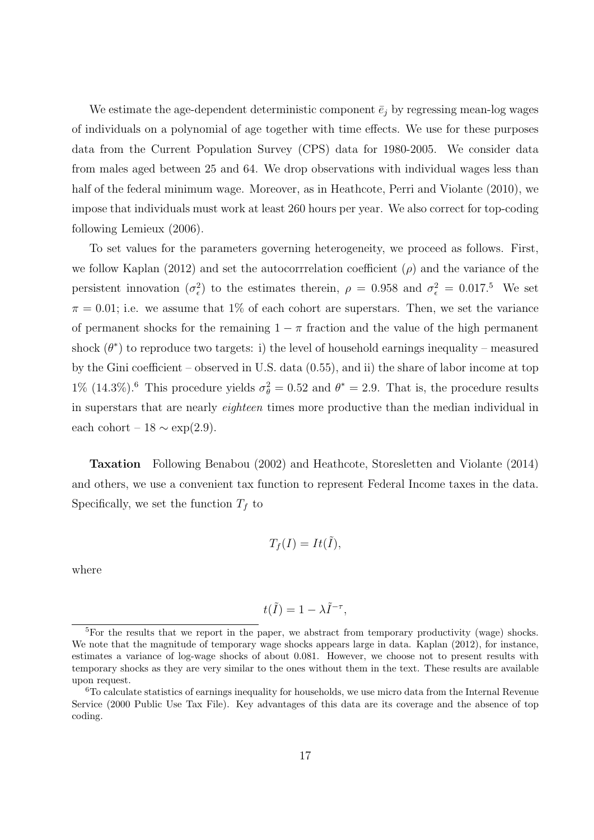We estimate the age-dependent deterministic component  $\bar{e}_j$  by regressing mean-log wages of individuals on a polynomial of age together with time effects. We use for these purposes data from the Current Population Survey (CPS) data for 1980-2005. We consider data from males aged between 25 and 64. We drop observations with individual wages less than half of the federal minimum wage. Moreover, as in Heathcote, Perri and Violante (2010), we impose that individuals must work at least 260 hours per year. We also correct for top-coding following Lemieux (2006).

To set values for the parameters governing heterogeneity, we proceed as follows. First, we follow Kaplan (2012) and set the autocorrrelation coefficient (*ρ*) and the variance of the persistent innovation  $(\sigma_{\epsilon}^2)$  to the estimates therein,  $\rho = 0.958$  and  $\sigma_{\epsilon}^2 = 0.017$ .<sup>5</sup> We set  $\pi = 0.01$ ; i.e. we assume that 1% of each cohort are superstars. Then, we set the variance of permanent shocks for the remaining  $1 - \pi$  fraction and the value of the high permanent shock  $(\theta^*)$  to reproduce two targets: i) the level of household earnings inequality – measured by the Gini coefficient – observed in U.S. data (0.55), and ii) the share of labor income at top 1% (14.3%).<sup>6</sup> This procedure yields  $\sigma_{\theta}^2 = 0.52$  and  $\theta^* = 2.9$ . That is, the procedure results in superstars that are nearly *eighteen* times more productive than the median individual in each cohort –  $18 \sim \exp(2.9)$ .

**Taxation** Following Benabou (2002) and Heathcote, Storesletten and Violante (2014) and others, we use a convenient tax function to represent Federal Income taxes in the data. Specifically, we set the function  $T_f$  to

$$
T_f(I) = It(\tilde{I}),
$$

where

$$
t(\tilde{I}) = 1 - \lambda \tilde{I}^{-\tau},
$$

<sup>&</sup>lt;sup>5</sup>For the results that we report in the paper, we abstract from temporary productivity (wage) shocks. We note that the magnitude of temporary wage shocks appears large in data. Kaplan (2012), for instance, estimates a variance of log-wage shocks of about 0*.*081. However, we choose not to present results with temporary shocks as they are very similar to the ones without them in the text. These results are available upon request.

<sup>6</sup>To calculate statistics of earnings inequality for households, we use micro data from the Internal Revenue Service (2000 Public Use Tax File). Key advantages of this data are its coverage and the absence of top coding.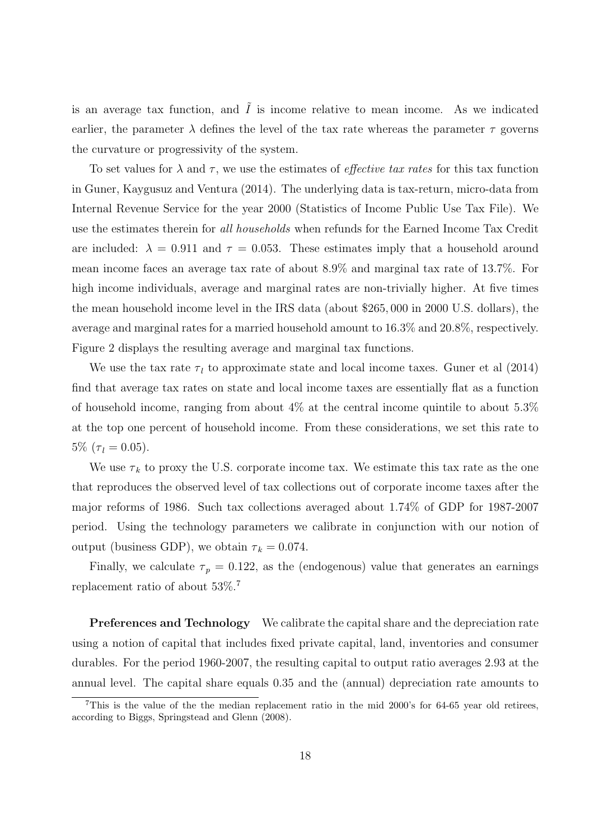is an average tax function, and  $\tilde{I}$  is income relative to mean income. As we indicated earlier, the parameter  $\lambda$  defines the level of the tax rate whereas the parameter  $\tau$  governs the curvature or progressivity of the system.

To set values for  $\lambda$  and  $\tau$ , we use the estimates of *effective tax rates* for this tax function in Guner, Kaygusuz and Ventura (2014). The underlying data is tax-return, micro-data from Internal Revenue Service for the year 2000 (Statistics of Income Public Use Tax File). We use the estimates therein for *all households* when refunds for the Earned Income Tax Credit are included:  $\lambda = 0.911$  and  $\tau = 0.053$ . These estimates imply that a household around mean income faces an average tax rate of about 8.9% and marginal tax rate of 13.7%. For high income individuals, average and marginal rates are non-trivially higher. At five times the mean household income level in the IRS data (about \$265*,* 000 in 2000 U.S. dollars), the average and marginal rates for a married household amount to 16.3% and 20.8%, respectively. Figure 2 displays the resulting average and marginal tax functions.

We use the tax rate  $\tau_l$  to approximate state and local income taxes. Guner et al (2014) find that average tax rates on state and local income taxes are essentially flat as a function of household income, ranging from about  $4\%$  at the central income quintile to about  $5.3\%$ at the top one percent of household income. From these considerations, we set this rate to  $5\%$   $(\tau_l = 0.05)$ .

We use  $\tau_k$  to proxy the U.S. corporate income tax. We estimate this tax rate as the one that reproduces the observed level of tax collections out of corporate income taxes after the major reforms of 1986. Such tax collections averaged about 1.74% of GDP for 1987-2007 period. Using the technology parameters we calibrate in conjunction with our notion of output (business GDP), we obtain  $\tau_k = 0.074$ .

Finally, we calculate  $\tau_p = 0.122$ , as the (endogenous) value that generates an earnings replacement ratio of about 53%.<sup>7</sup>

**Preferences and Technology** We calibrate the capital share and the depreciation rate using a notion of capital that includes fixed private capital, land, inventories and consumer durables. For the period 1960-2007, the resulting capital to output ratio averages 2.93 at the annual level. The capital share equals 0.35 and the (annual) depreciation rate amounts to

<sup>7</sup>This is the value of the the median replacement ratio in the mid 2000's for 64-65 year old retirees, according to Biggs, Springstead and Glenn (2008).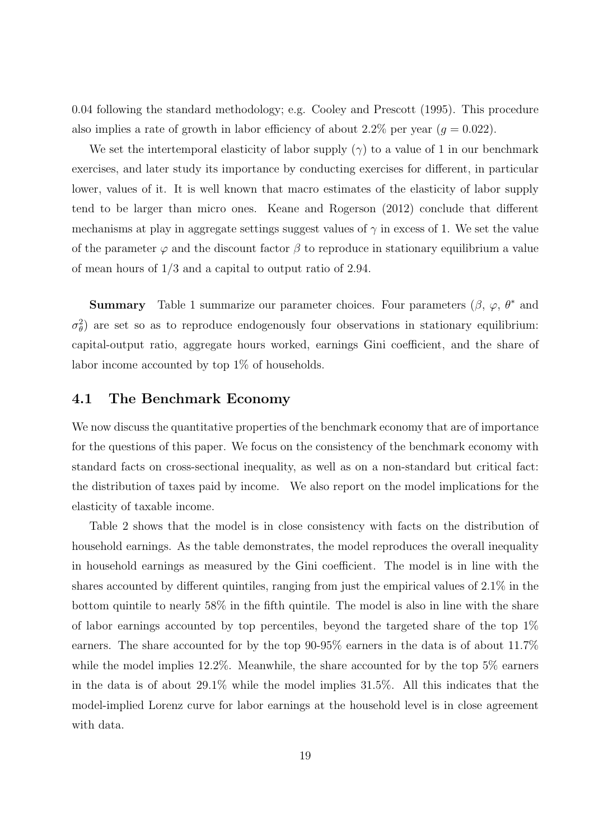0.04 following the standard methodology; e.g. Cooley and Prescott (1995). This procedure also implies a rate of growth in labor efficiency of about 2.2% per year  $(q = 0.022)$ .

We set the intertemporal elasticity of labor supply  $(\gamma)$  to a value of 1 in our benchmark exercises, and later study its importance by conducting exercises for different, in particular lower, values of it. It is well known that macro estimates of the elasticity of labor supply tend to be larger than micro ones. Keane and Rogerson (2012) conclude that different mechanisms at play in aggregate settings suggest values of  $\gamma$  in excess of 1. We set the value of the parameter  $\varphi$  and the discount factor  $\beta$  to reproduce in stationary equilibrium a value of mean hours of 1*/*3 and a capital to output ratio of 2.94.

**Summary** Table 1 summarize our parameter choices. Four parameters  $(\beta, \varphi, \theta^*$  and  $\sigma_{\theta}^2$ ) are set so as to reproduce endogenously four observations in stationary equilibrium: capital-output ratio, aggregate hours worked, earnings Gini coefficient, and the share of labor income accounted by top 1% of households.

#### **4.1 The Benchmark Economy**

We now discuss the quantitative properties of the benchmark economy that are of importance for the questions of this paper. We focus on the consistency of the benchmark economy with standard facts on cross-sectional inequality, as well as on a non-standard but critical fact: the distribution of taxes paid by income. We also report on the model implications for the elasticity of taxable income.

Table 2 shows that the model is in close consistency with facts on the distribution of household earnings. As the table demonstrates, the model reproduces the overall inequality in household earnings as measured by the Gini coefficient. The model is in line with the shares accounted by different quintiles, ranging from just the empirical values of 2.1% in the bottom quintile to nearly 58% in the fifth quintile. The model is also in line with the share of labor earnings accounted by top percentiles, beyond the targeted share of the top 1% earners. The share accounted for by the top 90-95% earners in the data is of about 11.7% while the model implies 12.2%. Meanwhile, the share accounted for by the top 5% earners in the data is of about 29.1% while the model implies 31.5%. All this indicates that the model-implied Lorenz curve for labor earnings at the household level is in close agreement with data.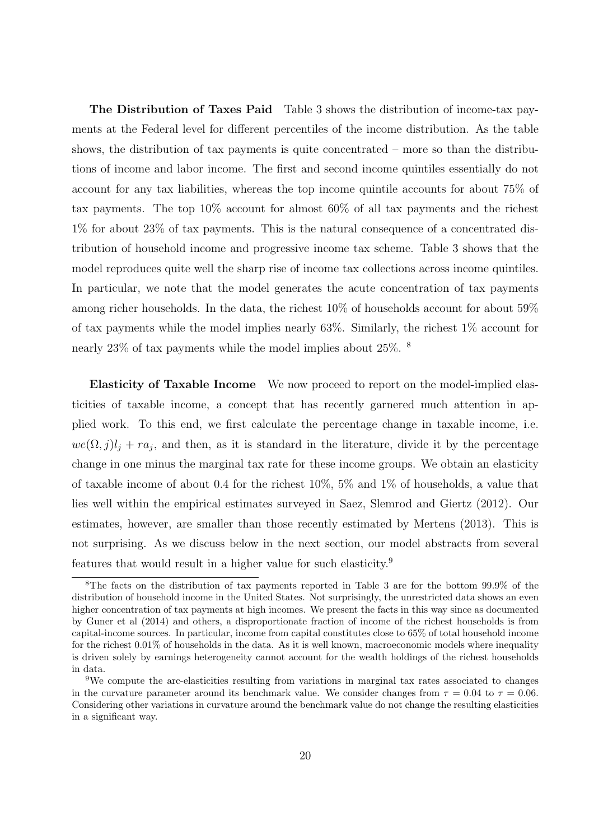**The Distribution of Taxes Paid** Table 3 shows the distribution of income-tax payments at the Federal level for different percentiles of the income distribution. As the table shows, the distribution of tax payments is quite concentrated – more so than the distributions of income and labor income. The first and second income quintiles essentially do not account for any tax liabilities, whereas the top income quintile accounts for about 75% of tax payments. The top 10% account for almost 60% of all tax payments and the richest 1% for about 23% of tax payments. This is the natural consequence of a concentrated distribution of household income and progressive income tax scheme. Table 3 shows that the model reproduces quite well the sharp rise of income tax collections across income quintiles. In particular, we note that the model generates the acute concentration of tax payments among richer households. In the data, the richest 10% of households account for about 59% of tax payments while the model implies nearly 63%. Similarly, the richest 1% account for nearly 23% of tax payments while the model implies about 25%. <sup>8</sup>

**Elasticity of Taxable Income** We now proceed to report on the model-implied elasticities of taxable income, a concept that has recently garnered much attention in applied work. To this end, we first calculate the percentage change in taxable income, i.e.  $we(\Omega, j)l_j + ra_j$ , and then, as it is standard in the literature, divide it by the percentage change in one minus the marginal tax rate for these income groups. We obtain an elasticity of taxable income of about 0.4 for the richest  $10\%$ , 5% and 1% of households, a value that lies well within the empirical estimates surveyed in Saez, Slemrod and Giertz (2012). Our estimates, however, are smaller than those recently estimated by Mertens (2013). This is not surprising. As we discuss below in the next section, our model abstracts from several features that would result in a higher value for such elasticity.<sup>9</sup>

<sup>8</sup>The facts on the distribution of tax payments reported in Table 3 are for the bottom 99.9% of the distribution of household income in the United States. Not surprisingly, the unrestricted data shows an even higher concentration of tax payments at high incomes. We present the facts in this way since as documented by Guner et al (2014) and others, a disproportionate fraction of income of the richest households is from capital-income sources. In particular, income from capital constitutes close to 65% of total household income for the richest 0.01% of households in the data. As it is well known, macroeconomic models where inequality is driven solely by earnings heterogeneity cannot account for the wealth holdings of the richest households in data.

<sup>9</sup>We compute the arc-elasticities resulting from variations in marginal tax rates associated to changes in the curvature parameter around its benchmark value. We consider changes from  $\tau = 0.04$  to  $\tau = 0.06$ . Considering other variations in curvature around the benchmark value do not change the resulting elasticities in a significant way.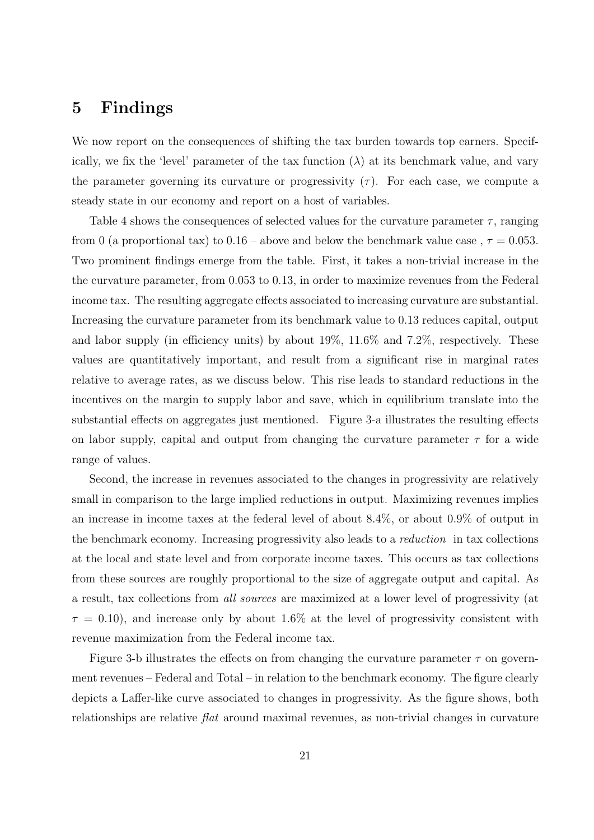### **5 Findings**

We now report on the consequences of shifting the tax burden towards top earners. Specifically, we fix the 'level' parameter of the tax function  $(\lambda)$  at its benchmark value, and vary the parameter governing its curvature or progressivity  $(\tau)$ . For each case, we compute a steady state in our economy and report on a host of variables.

Table 4 shows the consequences of selected values for the curvature parameter  $\tau$ , ranging from 0 (a proportional tax) to  $0.16$  – above and below the benchmark value case,  $\tau = 0.053$ . Two prominent findings emerge from the table. First, it takes a non-trivial increase in the the curvature parameter, from 0*.*053 to 0.13, in order to maximize revenues from the Federal income tax. The resulting aggregate effects associated to increasing curvature are substantial. Increasing the curvature parameter from its benchmark value to 0*.*13 reduces capital, output and labor supply (in efficiency units) by about 19%, 11.6% and 7.2%, respectively. These values are quantitatively important, and result from a significant rise in marginal rates relative to average rates, as we discuss below. This rise leads to standard reductions in the incentives on the margin to supply labor and save, which in equilibrium translate into the substantial effects on aggregates just mentioned. Figure 3-a illustrates the resulting effects on labor supply, capital and output from changing the curvature parameter  $\tau$  for a wide range of values.

Second, the increase in revenues associated to the changes in progressivity are relatively small in comparison to the large implied reductions in output. Maximizing revenues implies an increase in income taxes at the federal level of about 8.4%, or about 0.9% of output in the benchmark economy. Increasing progressivity also leads to a *reduction* in tax collections at the local and state level and from corporate income taxes. This occurs as tax collections from these sources are roughly proportional to the size of aggregate output and capital. As a result, tax collections from *all sources* are maximized at a lower level of progressivity (at  $\tau = 0.10$ , and increase only by about 1.6% at the level of progressivity consistent with revenue maximization from the Federal income tax.

Figure 3-b illustrates the effects on from changing the curvature parameter  $\tau$  on government revenues – Federal and Total – in relation to the benchmark economy. The figure clearly depicts a Laffer-like curve associated to changes in progressivity. As the figure shows, both relationships are relative *flat* around maximal revenues, as non-trivial changes in curvature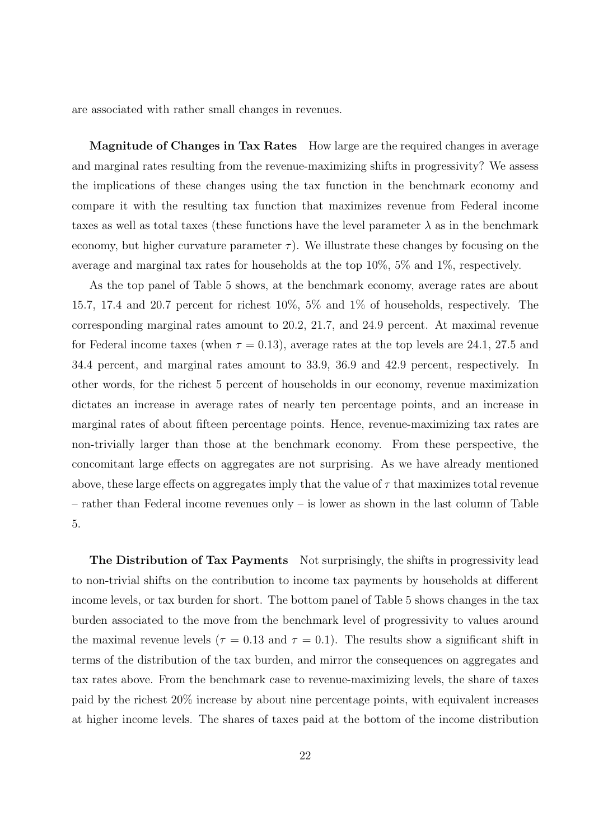are associated with rather small changes in revenues.

**Magnitude of Changes in Tax Rates** How large are the required changes in average and marginal rates resulting from the revenue-maximizing shifts in progressivity? We assess the implications of these changes using the tax function in the benchmark economy and compare it with the resulting tax function that maximizes revenue from Federal income taxes as well as total taxes (these functions have the level parameter  $\lambda$  as in the benchmark economy, but higher curvature parameter  $\tau$ ). We illustrate these changes by focusing on the average and marginal tax rates for households at the top 10%, 5% and 1%, respectively.

As the top panel of Table 5 shows, at the benchmark economy, average rates are about 15.7, 17.4 and 20.7 percent for richest 10%, 5% and 1% of households, respectively. The corresponding marginal rates amount to 20.2, 21.7, and 24.9 percent. At maximal revenue for Federal income taxes (when  $\tau = 0.13$ ), average rates at the top levels are 24.1, 27.5 and 34.4 percent, and marginal rates amount to 33.9, 36.9 and 42.9 percent, respectively. In other words, for the richest 5 percent of households in our economy, revenue maximization dictates an increase in average rates of nearly ten percentage points, and an increase in marginal rates of about fifteen percentage points. Hence, revenue-maximizing tax rates are non-trivially larger than those at the benchmark economy. From these perspective, the concomitant large effects on aggregates are not surprising. As we have already mentioned above, these large effects on aggregates imply that the value of  $\tau$  that maximizes total revenue – rather than Federal income revenues only – is lower as shown in the last column of Table 5.

**The Distribution of Tax Payments** Not surprisingly, the shifts in progressivity lead to non-trivial shifts on the contribution to income tax payments by households at different income levels, or tax burden for short. The bottom panel of Table 5 shows changes in the tax burden associated to the move from the benchmark level of progressivity to values around the maximal revenue levels ( $\tau = 0.13$  and  $\tau = 0.1$ ). The results show a significant shift in terms of the distribution of the tax burden, and mirror the consequences on aggregates and tax rates above. From the benchmark case to revenue-maximizing levels, the share of taxes paid by the richest 20% increase by about nine percentage points, with equivalent increases at higher income levels. The shares of taxes paid at the bottom of the income distribution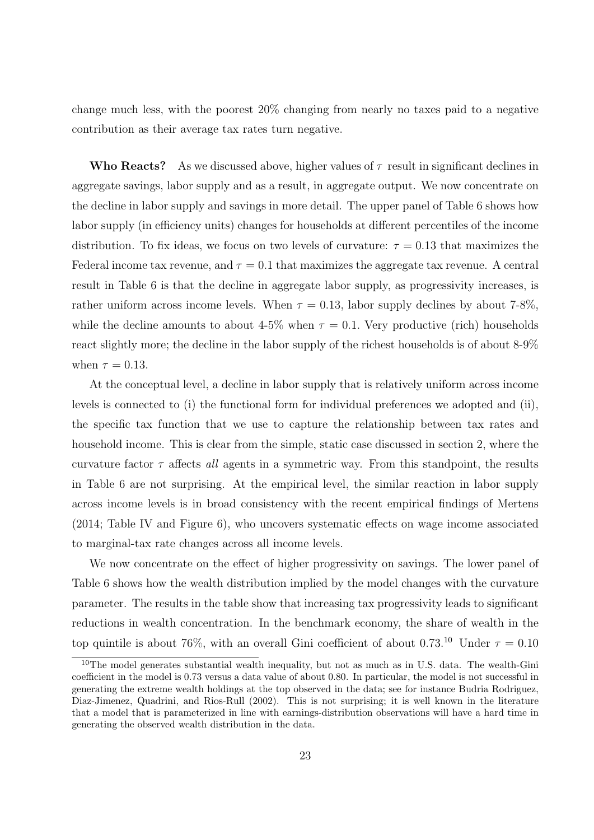change much less, with the poorest 20% changing from nearly no taxes paid to a negative contribution as their average tax rates turn negative.

**Who Reacts?** As we discussed above, higher values of  $\tau$  result in significant declines in aggregate savings, labor supply and as a result, in aggregate output. We now concentrate on the decline in labor supply and savings in more detail. The upper panel of Table 6 shows how labor supply (in efficiency units) changes for households at different percentiles of the income distribution. To fix ideas, we focus on two levels of curvature:  $\tau = 0.13$  that maximizes the Federal income tax revenue, and  $\tau = 0.1$  that maximizes the aggregate tax revenue. A central result in Table 6 is that the decline in aggregate labor supply, as progressivity increases, is rather uniform across income levels. When  $\tau = 0.13$ , labor supply declines by about 7-8%, while the decline amounts to about 4-5% when  $\tau = 0.1$ . Very productive (rich) households react slightly more; the decline in the labor supply of the richest households is of about 8-9% when  $\tau = 0.13$ .

At the conceptual level, a decline in labor supply that is relatively uniform across income levels is connected to (i) the functional form for individual preferences we adopted and (ii), the specific tax function that we use to capture the relationship between tax rates and household income. This is clear from the simple, static case discussed in section 2, where the curvature factor *τ* affects *all* agents in a symmetric way. From this standpoint, the results in Table 6 are not surprising. At the empirical level, the similar reaction in labor supply across income levels is in broad consistency with the recent empirical findings of Mertens (2014; Table IV and Figure 6), who uncovers systematic effects on wage income associated to marginal-tax rate changes across all income levels.

We now concentrate on the effect of higher progressivity on savings. The lower panel of Table 6 shows how the wealth distribution implied by the model changes with the curvature parameter. The results in the table show that increasing tax progressivity leads to significant reductions in wealth concentration. In the benchmark economy, the share of wealth in the top quintile is about 76%, with an overall Gini coefficient of about 0.73.<sup>10</sup> Under  $\tau = 0.10$ 

 $10$ The model generates substantial wealth inequality, but not as much as in U.S. data. The wealth-Gini coefficient in the model is 0.73 versus a data value of about 0.80. In particular, the model is not successful in generating the extreme wealth holdings at the top observed in the data; see for instance Budria Rodriguez, Diaz-Jimenez, Quadrini, and Rios-Rull (2002). This is not surprising; it is well known in the literature that a model that is parameterized in line with earnings-distribution observations will have a hard time in generating the observed wealth distribution in the data.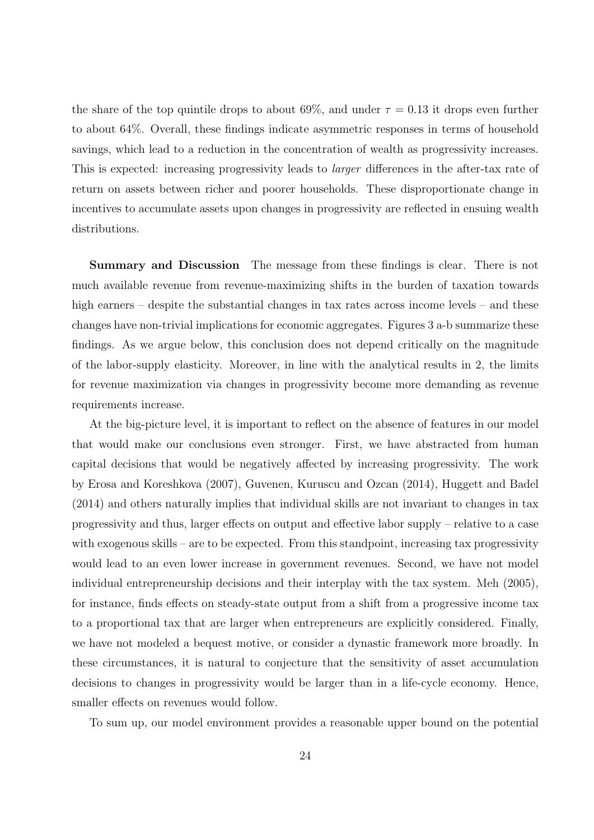the share of the top quintile drops to about  $69\%$ , and under  $\tau = 0.13$  it drops even further to about 64%. Overall, these findings indicate asymmetric responses in terms of household savings, which lead to a reduction in the concentration of wealth as progressivity increases. This is expected: increasing progressivity leads to *larger* differences in the after-tax rate of return on assets between richer and poorer households. These disproportionate change in incentives to accumulate assets upon changes in progressivity are reflected in ensuing wealth distributions.

**Summary and Discussion** The message from these findings is clear. There is not much available revenue from revenue-maximizing shifts in the burden of taxation towards high earners – despite the substantial changes in tax rates across income levels – and these changes have non-trivial implications for economic aggregates. Figures 3 a-b summarize these findings. As we argue below, this conclusion does not depend critically on the magnitude of the labor-supply elasticity. Moreover, in line with the analytical results in 2, the limits for revenue maximization via changes in progressivity become more demanding as revenue requirements increase.

At the big-picture level, it is important to reflect on the absence of features in our model that would make our conclusions even stronger. First, we have abstracted from human capital decisions that would be negatively affected by increasing progressivity. The work by Erosa and Koreshkova (2007), Guvenen, Kuruscu and Ozcan (2014), Huggett and Badel (2014) and others naturally implies that individual skills are not invariant to changes in tax progressivity and thus, larger effects on output and effective labor supply – relative to a case with exogenous skills – are to be expected. From this standpoint, increasing tax progressivity would lead to an even lower increase in government revenues. Second, we have not model individual entrepreneurship decisions and their interplay with the tax system. Meh (2005), for instance, finds effects on steady-state output from a shift from a progressive income tax to a proportional tax that are larger when entrepreneurs are explicitly considered. Finally, we have not modeled a bequest motive, or consider a dynastic framework more broadly. In these circumstances, it is natural to conjecture that the sensitivity of asset accumulation decisions to changes in progressivity would be larger than in a life-cycle economy. Hence, smaller effects on revenues would follow.

To sum up, our model environment provides a reasonable upper bound on the potential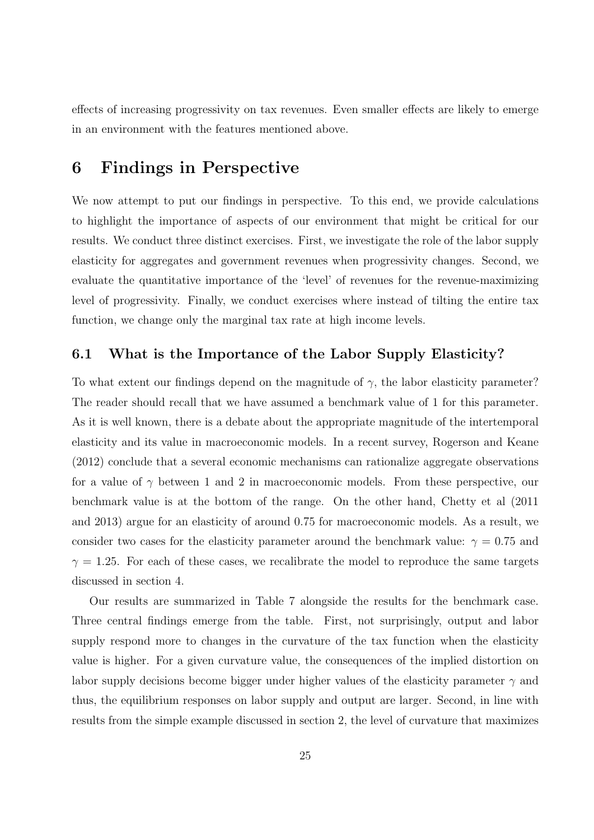effects of increasing progressivity on tax revenues. Even smaller effects are likely to emerge in an environment with the features mentioned above.

#### **6 Findings in Perspective**

We now attempt to put our findings in perspective. To this end, we provide calculations to highlight the importance of aspects of our environment that might be critical for our results. We conduct three distinct exercises. First, we investigate the role of the labor supply elasticity for aggregates and government revenues when progressivity changes. Second, we evaluate the quantitative importance of the 'level' of revenues for the revenue-maximizing level of progressivity. Finally, we conduct exercises where instead of tilting the entire tax function, we change only the marginal tax rate at high income levels.

#### **6.1 What is the Importance of the Labor Supply Elasticity?**

To what extent our findings depend on the magnitude of  $\gamma$ , the labor elasticity parameter? The reader should recall that we have assumed a benchmark value of 1 for this parameter. As it is well known, there is a debate about the appropriate magnitude of the intertemporal elasticity and its value in macroeconomic models. In a recent survey, Rogerson and Keane (2012) conclude that a several economic mechanisms can rationalize aggregate observations for a value of  $\gamma$  between 1 and 2 in macroeconomic models. From these perspective, our benchmark value is at the bottom of the range. On the other hand, Chetty et al (2011 and 2013) argue for an elasticity of around 0.75 for macroeconomic models. As a result, we consider two cases for the elasticity parameter around the benchmark value:  $\gamma = 0.75$  and  $\gamma = 1.25$ . For each of these cases, we recalibrate the model to reproduce the same targets discussed in section 4.

Our results are summarized in Table 7 alongside the results for the benchmark case. Three central findings emerge from the table. First, not surprisingly, output and labor supply respond more to changes in the curvature of the tax function when the elasticity value is higher. For a given curvature value, the consequences of the implied distortion on labor supply decisions become bigger under higher values of the elasticity parameter  $\gamma$  and thus, the equilibrium responses on labor supply and output are larger. Second, in line with results from the simple example discussed in section 2, the level of curvature that maximizes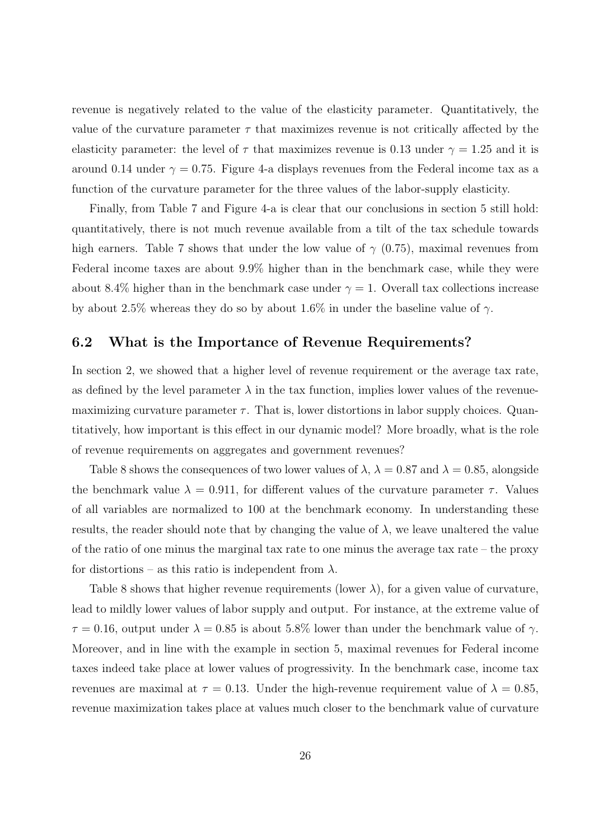revenue is negatively related to the value of the elasticity parameter. Quantitatively, the value of the curvature parameter  $\tau$  that maximizes revenue is not critically affected by the elasticity parameter: the level of  $\tau$  that maximizes revenue is 0.13 under  $\gamma = 1.25$  and it is around 0.14 under  $\gamma = 0.75$ . Figure 4-a displays revenues from the Federal income tax as a function of the curvature parameter for the three values of the labor-supply elasticity.

Finally, from Table 7 and Figure 4-a is clear that our conclusions in section 5 still hold: quantitatively, there is not much revenue available from a tilt of the tax schedule towards high earners. Table 7 shows that under the low value of  $\gamma$  (0.75), maximal revenues from Federal income taxes are about 9.9% higher than in the benchmark case, while they were about 8.4% higher than in the benchmark case under  $\gamma = 1$ . Overall tax collections increase by about 2.5% whereas they do so by about 1.6% in under the baseline value of *γ*.

#### **6.2 What is the Importance of Revenue Requirements?**

In section 2, we showed that a higher level of revenue requirement or the average tax rate, as defined by the level parameter  $\lambda$  in the tax function, implies lower values of the revenuemaximizing curvature parameter  $\tau$ . That is, lower distortions in labor supply choices. Quantitatively, how important is this effect in our dynamic model? More broadly, what is the role of revenue requirements on aggregates and government revenues?

Table 8 shows the consequences of two lower values of  $\lambda$ ,  $\lambda = 0.87$  and  $\lambda = 0.85$ , alongside the benchmark value  $\lambda = 0.911$ , for different values of the curvature parameter  $\tau$ . Values of all variables are normalized to 100 at the benchmark economy. In understanding these results, the reader should note that by changing the value of  $\lambda$ , we leave unaltered the value of the ratio of one minus the marginal tax rate to one minus the average tax rate – the proxy for distortions – as this ratio is independent from  $\lambda$ .

Table 8 shows that higher revenue requirements (lower  $\lambda$ ), for a given value of curvature, lead to mildly lower values of labor supply and output. For instance, at the extreme value of  $\tau = 0.16$ , output under  $\lambda = 0.85$  is about 5.8% lower than under the benchmark value of  $\gamma$ . Moreover, and in line with the example in section 5, maximal revenues for Federal income taxes indeed take place at lower values of progressivity. In the benchmark case, income tax revenues are maximal at  $\tau = 0.13$ . Under the high-revenue requirement value of  $\lambda = 0.85$ , revenue maximization takes place at values much closer to the benchmark value of curvature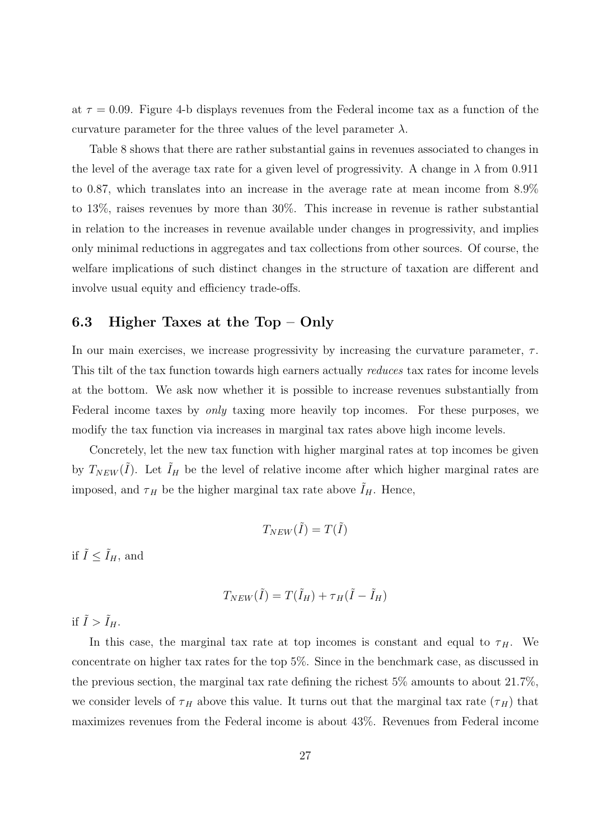at  $\tau = 0.09$ . Figure 4-b displays revenues from the Federal income tax as a function of the curvature parameter for the three values of the level parameter  $\lambda$ .

Table 8 shows that there are rather substantial gains in revenues associated to changes in the level of the average tax rate for a given level of progressivity. A change in  $\lambda$  from 0.911 to 0*.*87, which translates into an increase in the average rate at mean income from 8.9% to 13%, raises revenues by more than 30%. This increase in revenue is rather substantial in relation to the increases in revenue available under changes in progressivity, and implies only minimal reductions in aggregates and tax collections from other sources. Of course, the welfare implications of such distinct changes in the structure of taxation are different and involve usual equity and efficiency trade-offs.

#### **6.3 Higher Taxes at the Top – Only**

In our main exercises, we increase progressivity by increasing the curvature parameter,  $\tau$ . This tilt of the tax function towards high earners actually *reduces* tax rates for income levels at the bottom. We ask now whether it is possible to increase revenues substantially from Federal income taxes by *only* taxing more heavily top incomes. For these purposes, we modify the tax function via increases in marginal tax rates above high income levels.

Concretely, let the new tax function with higher marginal rates at top incomes be given by  $T_{NEW}(\tilde{I})$ . Let  $\tilde{I}_H$  be the level of relative income after which higher marginal rates are imposed, and  $\tau_H$  be the higher marginal tax rate above  $I_H$ . Hence,

$$
T_{NEW}(\tilde{I}) = T(\tilde{I})
$$

if  $\tilde{I} \leq \tilde{I}_H$ , and

$$
T_{NEW}(\tilde{I}) = T(\tilde{I}_H) + \tau_H(\tilde{I} - \tilde{I}_H)
$$

if  $\tilde{I} > \tilde{I}_H$ .

In this case, the marginal tax rate at top incomes is constant and equal to  $\tau$ <sub>H</sub>. We concentrate on higher tax rates for the top 5%. Since in the benchmark case, as discussed in the previous section, the marginal tax rate defining the richest 5% amounts to about 21.7%, we consider levels of  $\tau$  *H* above this value. It turns out that the marginal tax rate  $(\tau$ <sup>H</sup>) that maximizes revenues from the Federal income is about 43%. Revenues from Federal income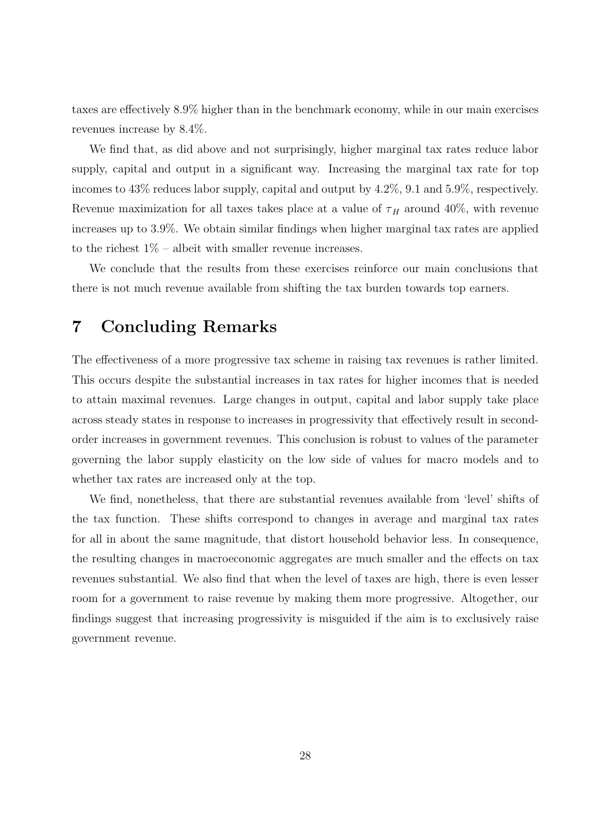taxes are effectively 8.9% higher than in the benchmark economy, while in our main exercises revenues increase by 8.4%.

We find that, as did above and not surprisingly, higher marginal tax rates reduce labor supply, capital and output in a significant way. Increasing the marginal tax rate for top incomes to 43% reduces labor supply, capital and output by 4.2%, 9.1 and 5.9%, respectively. Revenue maximization for all taxes takes place at a value of  $\tau$ <sub>H</sub> around 40%, with revenue increases up to 3.9%. We obtain similar findings when higher marginal tax rates are applied to the richest  $1\%$  – albeit with smaller revenue increases.

We conclude that the results from these exercises reinforce our main conclusions that there is not much revenue available from shifting the tax burden towards top earners.

## **7 Concluding Remarks**

The effectiveness of a more progressive tax scheme in raising tax revenues is rather limited. This occurs despite the substantial increases in tax rates for higher incomes that is needed to attain maximal revenues. Large changes in output, capital and labor supply take place across steady states in response to increases in progressivity that effectively result in secondorder increases in government revenues. This conclusion is robust to values of the parameter governing the labor supply elasticity on the low side of values for macro models and to whether tax rates are increased only at the top.

We find, nonetheless, that there are substantial revenues available from 'level' shifts of the tax function. These shifts correspond to changes in average and marginal tax rates for all in about the same magnitude, that distort household behavior less. In consequence, the resulting changes in macroeconomic aggregates are much smaller and the effects on tax revenues substantial. We also find that when the level of taxes are high, there is even lesser room for a government to raise revenue by making them more progressive. Altogether, our findings suggest that increasing progressivity is misguided if the aim is to exclusively raise government revenue.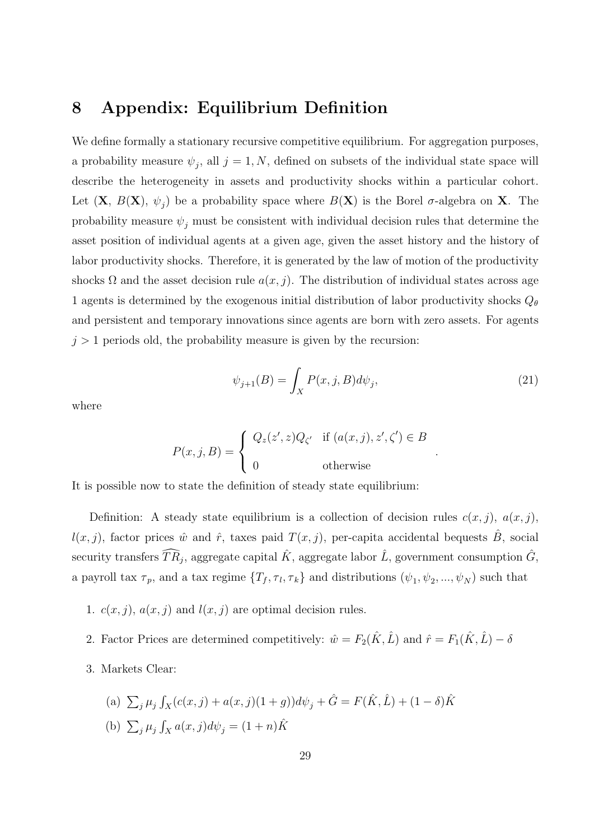### **8 Appendix: Equilibrium Definition**

We define formally a stationary recursive competitive equilibrium. For aggregation purposes, a probability measure  $\psi_j$ , all  $j = 1, N$ , defined on subsets of the individual state space will describe the heterogeneity in assets and productivity shocks within a particular cohort. Let  $(X, B(X), \psi_j)$  be a probability space where  $B(X)$  is the Borel  $\sigma$ -algebra on **X**. The probability measure  $\psi_j$  must be consistent with individual decision rules that determine the asset position of individual agents at a given age, given the asset history and the history of labor productivity shocks. Therefore, it is generated by the law of motion of the productivity shocks  $\Omega$  and the asset decision rule  $a(x, j)$ . The distribution of individual states across age 1 agents is determined by the exogenous initial distribution of labor productivity shocks *Q<sup>θ</sup>* and persistent and temporary innovations since agents are born with zero assets. For agents  $j > 1$  periods old, the probability measure is given by the recursion:

$$
\psi_{j+1}(B) = \int_X P(x,j,B)d\psi_j,\tag{21}
$$

*.*

where

$$
P(x, j, B) = \begin{cases} Q_z(z', z)Q_{\zeta'} & \text{if } (a(x, j), z', \zeta') \in B \\ 0 & \text{otherwise} \end{cases}
$$

It is possible now to state the definition of steady state equilibrium:

Definition: A steady state equilibrium is a collection of decision rules  $c(x, j)$ ,  $a(x, j)$ ,  $l(x, j)$ , factor prices  $\hat{w}$  and  $\hat{r}$ , taxes paid  $T(x, j)$ , per-capita accidental bequests  $\hat{B}$ , social security transfers  $\widehat{TR}_j$ , aggregate capital  $\hat{K}$ , aggregate labor  $\hat{L}$ , government consumption  $\hat{G}$ , a payroll tax  $\tau_p$ , and a tax regime  $\{T_f, \tau_l, \tau_k\}$  and distributions  $(\psi_1, \psi_2, ..., \psi_N)$  such that

- 1.  $c(x, j)$ ,  $a(x, j)$  and  $l(x, j)$  are optimal decision rules.
- 2. Factor Prices are determined competitively:  $\hat{w} = F_2(\hat{K}, \hat{L})$  and  $\hat{r} = F_1(\hat{K}, \hat{L}) \delta$
- 3. Markets Clear:

(a) 
$$
\sum_{j} \mu_{j} \int_{X} (c(x, j) + a(x, j)(1 + g)) d\psi_{j} + \hat{G} = F(\hat{K}, \hat{L}) + (1 - \delta)\hat{K}
$$
  
\n(b)  $\sum_{j} \mu_{j} \int_{X} a(x, j) d\psi_{j} = (1 + n)\hat{K}$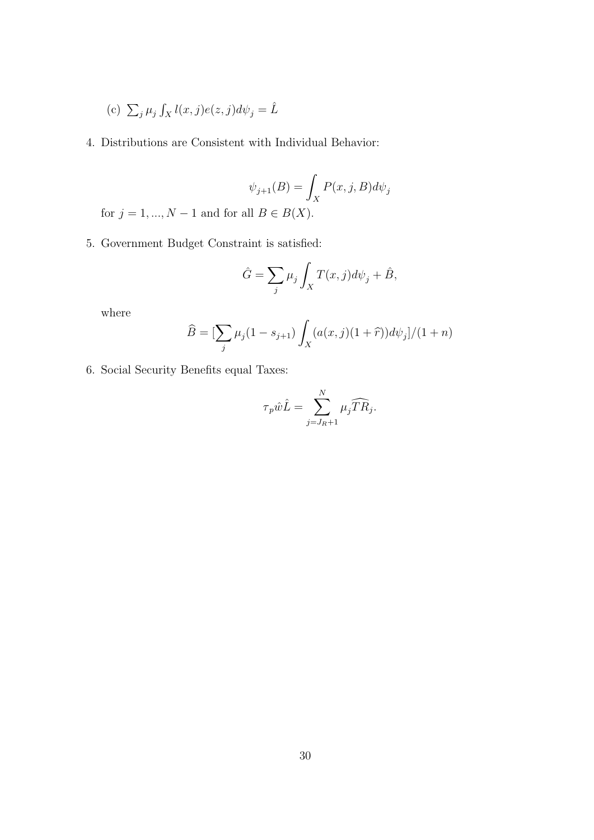- (c)  $\sum_j \mu_j \int_X l(x,j) e(z,j) d\psi_j = \hat{L}$
- 4. Distributions are Consistent with Individual Behavior:

$$
\psi_{j+1}(B) = \int_X P(x, j, B) d\psi_j
$$

for  $j = 1, ..., N - 1$  and for all  $B \in B(X)$ .

5. Government Budget Constraint is satisfied:

$$
\hat{G} = \sum_{j} \mu_j \int_X T(x, j) d\psi_j + \hat{B},
$$

where

$$
\widehat{B} = \left[\sum_{j} \mu_j (1 - s_{j+1}) \int_X (a(x, j)(1 + \widehat{r})) d\psi_j \right] / (1 + n)
$$

6. Social Security Benefits equal Taxes:

$$
\tau_p \hat{w}\hat{L} = \sum_{j=J_R+1}^N \mu_j \widehat{TR}_j.
$$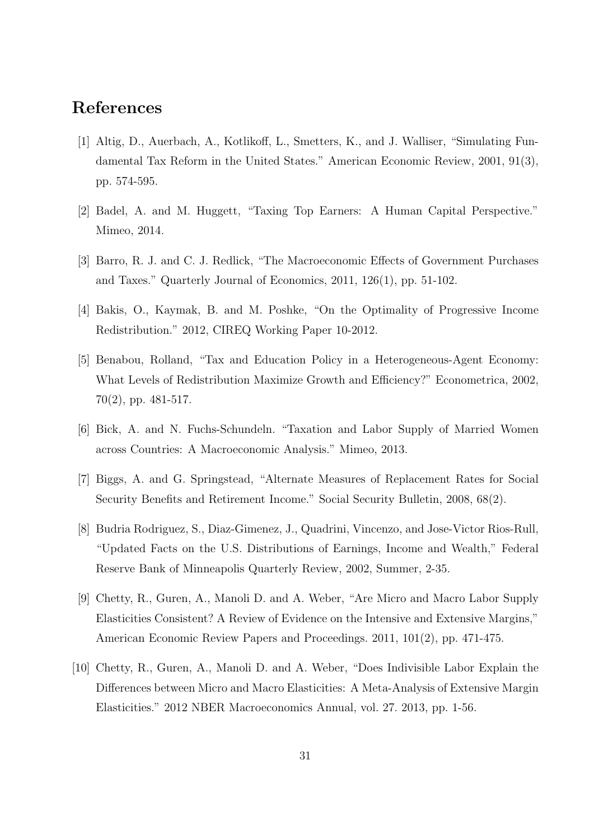### **References**

- [1] Altig, D., Auerbach, A., Kotlikoff, L., Smetters, K., and J. Walliser, "Simulating Fundamental Tax Reform in the United States." American Economic Review, 2001, 91(3), pp. 574-595.
- [2] Badel, A. and M. Huggett, "Taxing Top Earners: A Human Capital Perspective." Mimeo, 2014.
- [3] Barro, R. J. and C. J. Redlick, "The Macroeconomic Effects of Government Purchases and Taxes." Quarterly Journal of Economics, 2011, 126(1), pp. 51-102.
- [4] Bakis, O., Kaymak, B. and M. Poshke, "On the Optimality of Progressive Income Redistribution." 2012, CIREQ Working Paper 10-2012.
- [5] Benabou, Rolland, "Tax and Education Policy in a Heterogeneous-Agent Economy: What Levels of Redistribution Maximize Growth and Efficiency?" Econometrica, 2002, 70(2), pp. 481-517.
- [6] Bick, A. and N. Fuchs-Schundeln. "Taxation and Labor Supply of Married Women across Countries: A Macroeconomic Analysis." Mimeo, 2013.
- [7] Biggs, A. and G. Springstead, "Alternate Measures of Replacement Rates for Social Security Benefits and Retirement Income." Social Security Bulletin, 2008, 68(2).
- [8] Budria Rodriguez, S., Diaz-Gimenez, J., Quadrini, Vincenzo, and Jose-Victor Rios-Rull, "Updated Facts on the U.S. Distributions of Earnings, Income and Wealth," Federal Reserve Bank of Minneapolis Quarterly Review, 2002, Summer, 2-35.
- [9] Chetty, R., Guren, A., Manoli D. and A. Weber, "Are Micro and Macro Labor Supply Elasticities Consistent? A Review of Evidence on the Intensive and Extensive Margins," American Economic Review Papers and Proceedings. 2011, 101(2), pp. 471-475.
- [10] Chetty, R., Guren, A., Manoli D. and A. Weber, "Does Indivisible Labor Explain the Differences between Micro and Macro Elasticities: A Meta-Analysis of Extensive Margin Elasticities." 2012 NBER Macroeconomics Annual, vol. 27. 2013, pp. 1-56.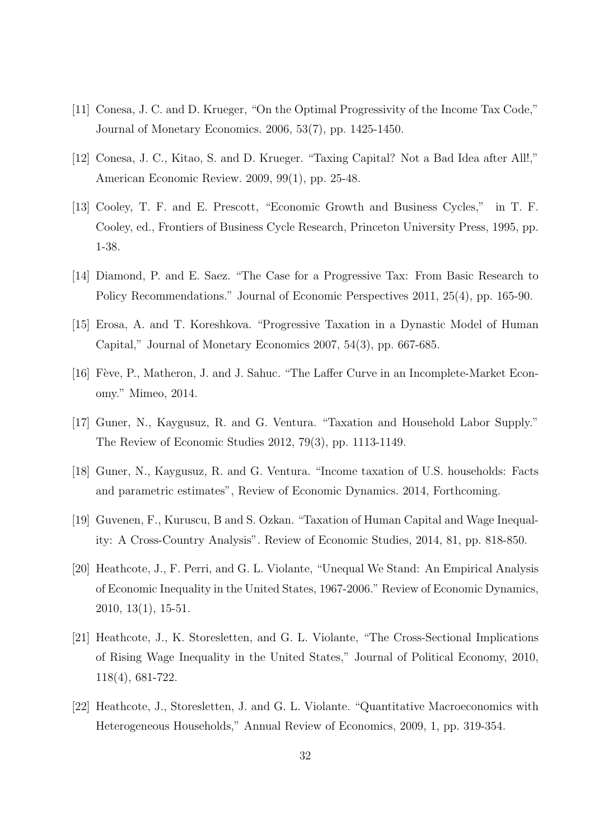- [11] Conesa, J. C. and D. Krueger, "On the Optimal Progressivity of the Income Tax Code," Journal of Monetary Economics. 2006, 53(7), pp. 1425-1450.
- [12] Conesa, J. C., Kitao, S. and D. Krueger. "Taxing Capital? Not a Bad Idea after All!," American Economic Review. 2009, 99(1), pp. 25-48.
- [13] Cooley, T. F. and E. Prescott, "Economic Growth and Business Cycles," in T. F. Cooley, ed., Frontiers of Business Cycle Research, Princeton University Press, 1995, pp. 1-38.
- [14] Diamond, P. and E. Saez. "The Case for a Progressive Tax: From Basic Research to Policy Recommendations." Journal of Economic Perspectives 2011, 25(4), pp. 165-90.
- [15] Erosa, A. and T. Koreshkova. "Progressive Taxation in a Dynastic Model of Human Capital," Journal of Monetary Economics 2007, 54(3), pp. 667-685.
- [16] Fève, P., Matheron, J. and J. Sahuc. "The Laffer Curve in an Incomplete-Market Economy." Mimeo, 2014.
- [17] Guner, N., Kaygusuz, R. and G. Ventura. "Taxation and Household Labor Supply." The Review of Economic Studies 2012, 79(3), pp. 1113-1149.
- [18] Guner, N., Kaygusuz, R. and G. Ventura. "Income taxation of U.S. households: Facts and parametric estimates", Review of Economic Dynamics. 2014, Forthcoming.
- [19] Guvenen, F., Kuruscu, B and S. Ozkan. "Taxation of Human Capital and Wage Inequality: A Cross-Country Analysis". Review of Economic Studies, 2014, 81, pp. 818-850.
- [20] Heathcote, J., F. Perri, and G. L. Violante, "Unequal We Stand: An Empirical Analysis of Economic Inequality in the United States, 1967-2006." Review of Economic Dynamics, 2010, 13(1), 15-51.
- [21] Heathcote, J., K. Storesletten, and G. L. Violante, "The Cross-Sectional Implications of Rising Wage Inequality in the United States," Journal of Political Economy, 2010, 118(4), 681-722.
- [22] Heathcote, J., Storesletten, J. and G. L. Violante. "Quantitative Macroeconomics with Heterogeneous Households," Annual Review of Economics, 2009, 1, pp. 319-354.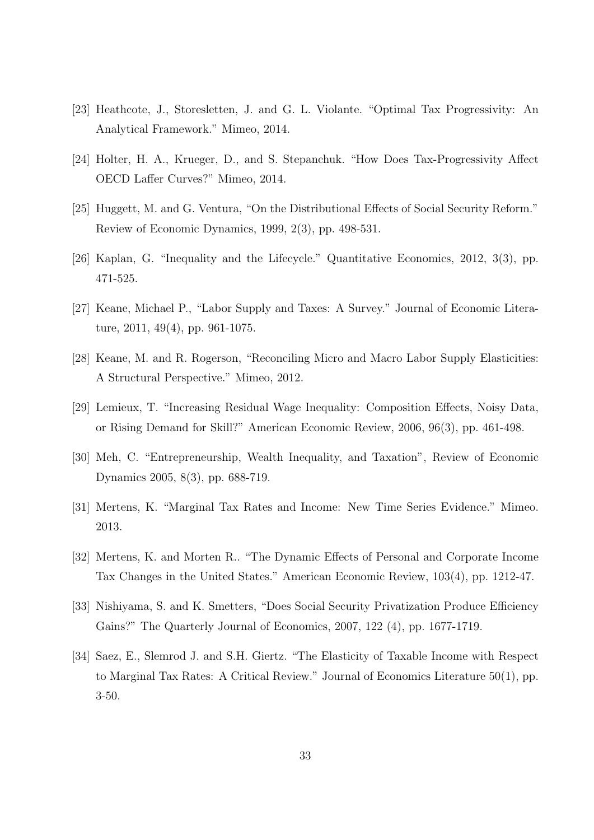- [23] Heathcote, J., Storesletten, J. and G. L. Violante. "Optimal Tax Progressivity: An Analytical Framework." Mimeo, 2014.
- [24] Holter, H. A., Krueger, D., and S. Stepanchuk. "How Does Tax-Progressivity Affect OECD Laffer Curves?" Mimeo, 2014.
- [25] Huggett, M. and G. Ventura, "On the Distributional Effects of Social Security Reform." Review of Economic Dynamics, 1999, 2(3), pp. 498-531.
- [26] Kaplan, G. "Inequality and the Lifecycle." Quantitative Economics, 2012, 3(3), pp. 471-525.
- [27] Keane, Michael P., "Labor Supply and Taxes: A Survey." Journal of Economic Literature, 2011, 49(4), pp. 961-1075.
- [28] Keane, M. and R. Rogerson, "Reconciling Micro and Macro Labor Supply Elasticities: A Structural Perspective." Mimeo, 2012.
- [29] Lemieux, T. "Increasing Residual Wage Inequality: Composition Effects, Noisy Data, or Rising Demand for Skill?" American Economic Review, 2006, 96(3), pp. 461-498.
- [30] Meh, C. "Entrepreneurship, Wealth Inequality, and Taxation", Review of Economic Dynamics 2005, 8(3), pp. 688-719.
- [31] Mertens, K. "Marginal Tax Rates and Income: New Time Series Evidence." Mimeo. 2013.
- [32] Mertens, K. and Morten R.. "The Dynamic Effects of Personal and Corporate Income Tax Changes in the United States." American Economic Review, 103(4), pp. 1212-47.
- [33] Nishiyama, S. and K. Smetters, "Does Social Security Privatization Produce Efficiency Gains?" The Quarterly Journal of Economics, 2007, 122 (4), pp. 1677-1719.
- [34] Saez, E., Slemrod J. and S.H. Giertz. "The Elasticity of Taxable Income with Respect to Marginal Tax Rates: A Critical Review." Journal of Economics Literature 50(1), pp. 3-50.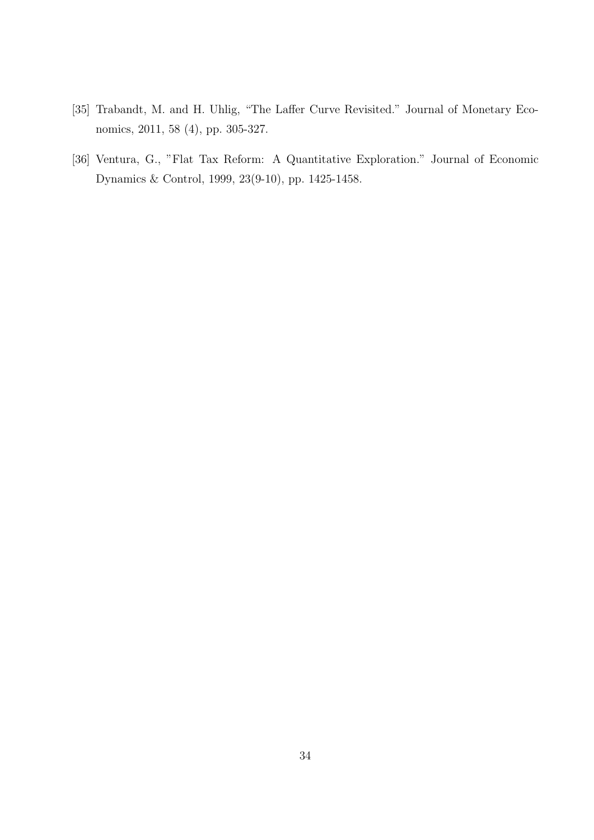- [35] Trabandt, M. and H. Uhlig, "The Laffer Curve Revisited." Journal of Monetary Economics, 2011, 58 (4), pp. 305-327.
- [36] Ventura, G., "Flat Tax Reform: A Quantitative Exploration." Journal of Economic Dynamics & Control, 1999, 23(9-10), pp. 1425-1458.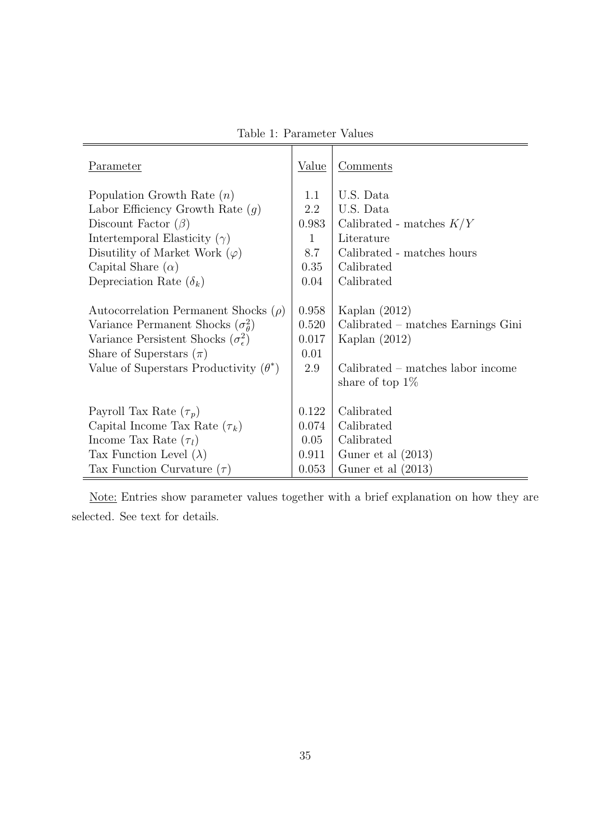Table 1: Parameter Values

 $\overline{1}$ 

 $\overline{\mathbf{r}}$ 

| Parameter                                          | Value | Comments                            |
|----------------------------------------------------|-------|-------------------------------------|
| Population Growth Rate $(n)$                       | 1.1   | U.S. Data                           |
| Labor Efficiency Growth Rate $(q)$                 | 2.2   | U.S. Data                           |
| Discount Factor $(\beta)$                          | 0.983 | Calibrated - matches $K/Y$          |
| Intertemporal Elasticity $(\gamma)$                | 1     | Literature                          |
| Disutility of Market Work $(\varphi)$              | 8.7   | Calibrated - matches hours          |
| Capital Share $(\alpha)$                           | 0.35  | Calibrated                          |
| Depreciation Rate $(\delta_k)$                     | 0.04  | Calibrated                          |
|                                                    |       |                                     |
| Autocorrelation Permanent Shocks $(\rho)$          | 0.958 | Kaplan $(2012)$                     |
| Variance Permanent Shocks $(\sigma_{\theta}^2)$    | 0.520 | Calibrated – matches Earnings Gini  |
| Variance Persistent Shocks $(\sigma_{\epsilon}^2)$ | 0.017 | Kaplan $(2012)$                     |
| Share of Superstars $(\pi)$                        | 0.01  |                                     |
| Value of Superstars Productivity $(\theta^*)$      | 2.9   | $Calibrated - matches labor income$ |
|                                                    |       | share of top $1\%$                  |
|                                                    |       |                                     |
| Payroll Tax Rate $(\tau_p)$                        | 0.122 | Calibrated                          |
| Capital Income Tax Rate $(\tau_k)$                 | 0.074 | Calibrated                          |
| Income Tax Rate $(\tau_l)$                         | 0.05  | Calibrated                          |
| Tax Function Level $(\lambda)$                     | 0.911 | Guner et al $(2013)$                |
| Tax Function Curvature $(\tau)$                    | 0.053 | Guner et al $(2013)$                |

Note: Entries show parameter values together with a brief explanation on how they are selected. See text for details.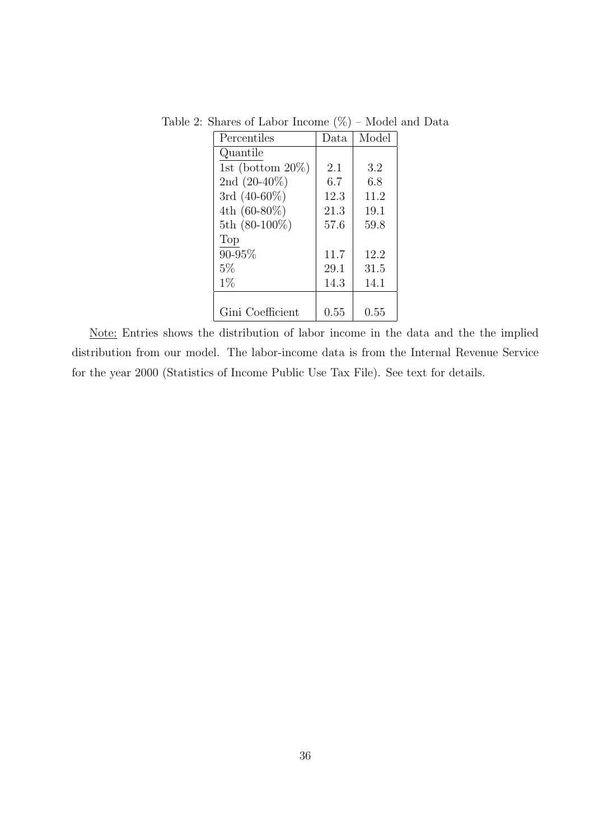| Percentiles          | Data | Model |
|----------------------|------|-------|
| Quantile             |      |       |
| 1st (bottom $20\%$ ) | 2.1  | 3.2   |
| 2nd $(20-40\%)$      | 6.7  | 6.8   |
| 3rd $(40-60\%)$      | 12.3 | 11.2  |
| 4th $(60-80\%)$      | 21.3 | 19.1  |
| 5th (80-100%)        | 57.6 | 59.8  |
| Top                  |      |       |
| 90-95%               | 11.7 | 12.2  |
| 5%                   | 29.1 | 31.5  |
| $1\%$                | 14.3 | 14.1  |
|                      |      |       |
| Gini Coefficient     | 0.55 | 0.55  |

Table 2: Shares of Labor Income  $(\%)$  – Model and Data

Note: Entries shows the distribution of labor income in the data and the the implied distribution from our model. The labor-income data is from the Internal Revenue Service for the year 2000 (Statistics of Income Public Use Tax File). See text for details.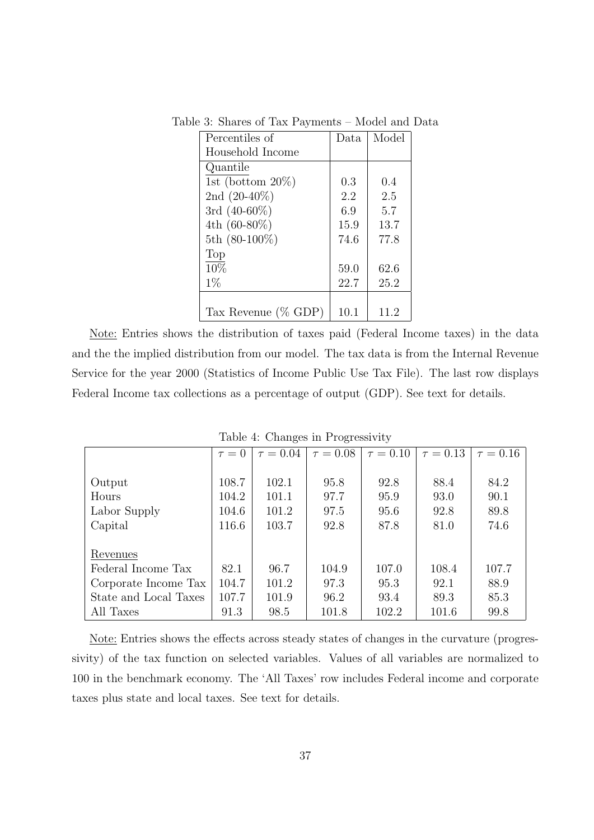Table 3: Shares of Tax Payments – Model and Data

| Percentiles of          | Data | Model |
|-------------------------|------|-------|
| Household Income        |      |       |
| Quantile                |      |       |
| 1st (bottom $20\%$ )    | 0.3  | 0.4   |
| 2nd $(20-40\%)$         | 2.2  | 2.5   |
| 3rd $(40-60\%)$         | 6.9  | 5.7   |
| 4th $(60-80\%)$         | 15.9 | 13.7  |
| 5th $(80-100\%)$        | 74.6 | 77.8  |
| Top                     |      |       |
| 10%                     | 59.0 | 62.6  |
| $1\%$                   | 22.7 | 25.2  |
|                         |      |       |
| Tax Revenue ( $\%$ GDP) | 10.1 | 11.2  |

Note: Entries shows the distribution of taxes paid (Federal Income taxes) in the data and the the implied distribution from our model. The tax data is from the Internal Revenue Service for the year 2000 (Statistics of Income Public Use Tax File). The last row displays Federal Income tax collections as a percentage of output (GDP). See text for details.

|                       | $\tau = 0$ | $\tau = 0.04$ | $\tau = 0.08$ | $\tau = 0.10$ | $\tau = 0.13$ | $\tau = 0.16$ |
|-----------------------|------------|---------------|---------------|---------------|---------------|---------------|
|                       |            |               |               |               |               |               |
| Output                | 108.7      | 102.1         | 95.8          | 92.8          | 88.4          | 84.2          |
| Hours                 | 104.2      | 101.1         | 97.7          | 95.9          | 93.0          | 90.1          |
| Labor Supply          | 104.6      | 101.2         | 97.5          | 95.6          | 92.8          | 89.8          |
| Capital               | 116.6      | 103.7         | 92.8          | 87.8          | 81.0          | 74.6          |
|                       |            |               |               |               |               |               |
| Revenues              |            |               |               |               |               |               |
| Federal Income Tax    | 82.1       | 96.7          | 104.9         | 107.0         | 108.4         | 107.7         |
| Corporate Income Tax  | 104.7      | 101.2         | 97.3          | 95.3          | 92.1          | 88.9          |
| State and Local Taxes | 107.7      | 101.9         | 96.2          | 93.4          | 89.3          | 85.3          |
| All Taxes             | 91.3       | 98.5          | 101.8         | 102.2         | 101.6         | 99.8          |

Table 4: Changes in Progressivity

Note: Entries shows the effects across steady states of changes in the curvature (progressivity) of the tax function on selected variables. Values of all variables are normalized to 100 in the benchmark economy. The 'All Taxes' row includes Federal income and corporate taxes plus state and local taxes. See text for details.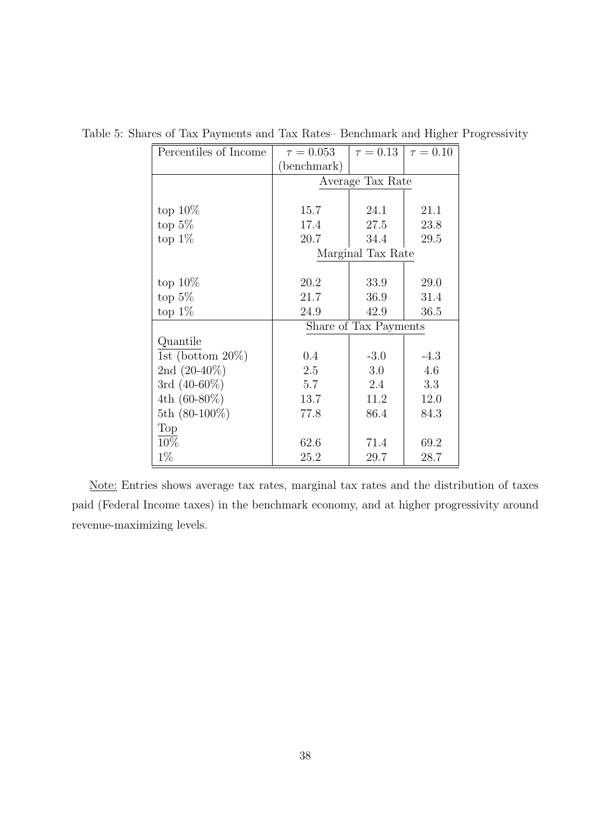| Percentiles of Income | $\tau = 0.053$        | $\tau = 0.13$     | $\tau = 0.10$ |  |  |  |
|-----------------------|-----------------------|-------------------|---------------|--|--|--|
|                       | (benchmark)           |                   |               |  |  |  |
|                       |                       | Average Tax Rate  |               |  |  |  |
|                       |                       |                   |               |  |  |  |
| top $10\%$            | 15.7                  | 24.1              | 21.1          |  |  |  |
| top $5\%$             | 17.4                  | 27.5              | 23.8          |  |  |  |
| top $1\%$             | 20.7                  | 34.4              | 29.5          |  |  |  |
|                       |                       | Marginal Tax Rate |               |  |  |  |
|                       |                       |                   |               |  |  |  |
| top $10\%$            | 20.2                  | 33.9              | 29.0          |  |  |  |
| top $5\%$             | 21.7                  | 36.9              | 31.4          |  |  |  |
| top $1\%$             | 24.9                  | 42.9              | 36.5          |  |  |  |
|                       | Share of Tax Payments |                   |               |  |  |  |
| Quantile              |                       |                   |               |  |  |  |
| 1st (bottom $20\%$ )  | 0.4                   | $-3.0$            | $-4.3$        |  |  |  |
| 2nd $(20-40\%)$       | 2.5                   | 3.0               | 4.6           |  |  |  |
| 3rd $(40-60\%)$       | 5.7                   | 2.4               | 3.3           |  |  |  |
| 4th $(60-80\%)$       | 13.7                  | 11.2              | 12.0          |  |  |  |
| 5th $(80-100\%)$      | 77.8                  | 86.4              | 84.3          |  |  |  |
| Top                   |                       |                   |               |  |  |  |
| 10%                   | 62.6                  | 71.4              | 69.2          |  |  |  |
| $1\%$                 | 25.2                  | 29.7              | 28.7          |  |  |  |

Table 5: Shares of Tax Payments and Tax Rates– Benchmark and Higher Progressivity

Note: Entries shows average tax rates, marginal tax rates and the distribution of taxes paid (Federal Income taxes) in the benchmark economy, and at higher progressivity around revenue-maximizing levels.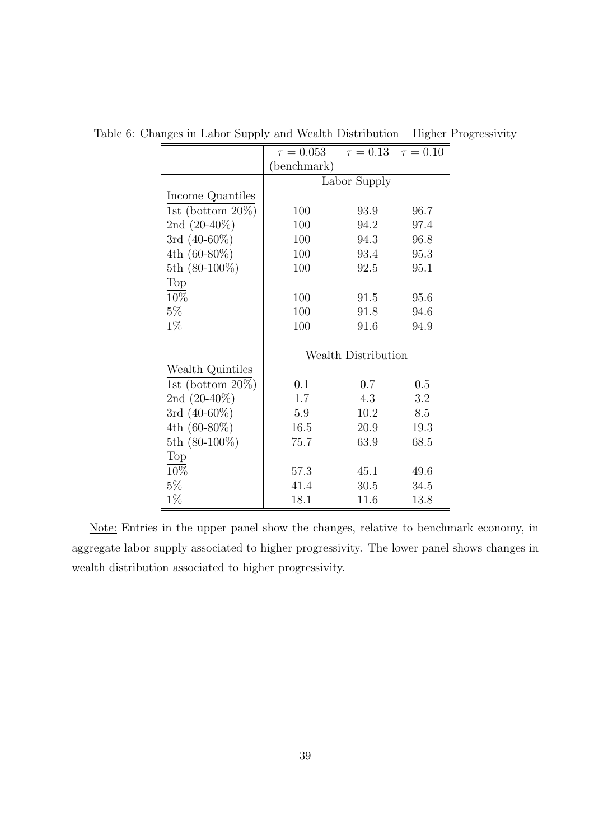|                      | $\tau = 0.053$ | $\tau = 0.13$              | $\tau = 0.10$ |
|----------------------|----------------|----------------------------|---------------|
|                      | (benchmark)    |                            |               |
|                      |                | Labor Supply               |               |
| Income Quantiles     |                |                            |               |
| 1st (bottom $20\%$ ) | 100            | 93.9                       | 96.7          |
| 2nd $(20-40\%)$      | 100            | 94.2                       | 97.4          |
| 3rd $(40-60\%)$      | 100            | 94.3                       | 96.8          |
| 4th $(60-80\%)$      | 100            | 93.4                       | 95.3          |
| 5th $(80-100\%)$     | 100            | 92.5                       | 95.1          |
| Top                  |                |                            |               |
| 10%                  | 100            | 91.5                       | 95.6          |
| $5\%$                | 100            | 91.8                       | 94.6          |
| $1\%$                | 100            | 91.6                       | 94.9          |
|                      |                |                            |               |
|                      |                | <b>Wealth Distribution</b> |               |
| Wealth Quintiles     |                |                            |               |
| 1st (bottom $20\%$ ) | 0.1            | 0.7                        | 0.5           |
| 2nd $(20-40\%)$      | 1.7            | 4.3                        | 3.2           |
| 3rd $(40-60\%)$      | 5.9            | 10.2                       | 8.5           |
| 4th $(60-80\%)$      | 16.5           | 20.9                       | 19.3          |
| 5th $(80-100\%)$     | 75.7           | 63.9                       | 68.5          |
| Top                  |                |                            |               |
| 10%                  | 57.3           | 45.1                       | 49.6          |
| $5\%$                | 41.4           | 30.5                       | 34.5          |
| $1\%$                | 18.1           | 11.6                       | 13.8          |

Table 6: Changes in Labor Supply and Wealth Distribution – Higher Progressivity

Note: Entries in the upper panel show the changes, relative to benchmark economy, in aggregate labor supply associated to higher progressivity. The lower panel shows changes in wealth distribution associated to higher progressivity.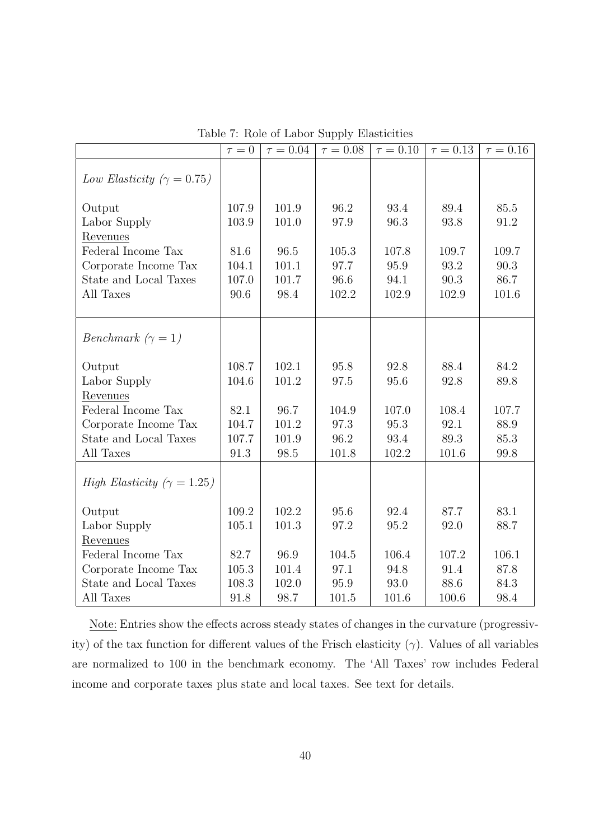|                                            | $\tau=0$ | $\tau = 0.04$ | $\tau = 0.08$ | $\tau=0.10$ | $\tau = 0.13$ | $\tau = 0.16$ |
|--------------------------------------------|----------|---------------|---------------|-------------|---------------|---------------|
|                                            |          |               |               |             |               |               |
| Low Elasticity ( $\gamma = 0.75$ )         |          |               |               |             |               |               |
| Output                                     | 107.9    | 101.9         | 96.2          | 93.4        | 89.4          | 85.5          |
| Labor Supply                               | 103.9    | 101.0         | 97.9          | 96.3        | 93.8          | 91.2          |
| Revenues                                   |          |               |               |             |               |               |
| Federal Income Tax                         | 81.6     | 96.5          | 105.3         | 107.8       | 109.7         | 109.7         |
| Corporate Income Tax                       | 104.1    | 101.1         | 97.7          | 95.9        | 93.2          | 90.3          |
| State and Local Taxes                      | 107.0    | 101.7         | 96.6          | 94.1        | $90.3$        | 86.7          |
| All Taxes                                  | 90.6     | 98.4          | 102.2         | 102.9       | 102.9         | 101.6         |
|                                            |          |               |               |             |               |               |
|                                            |          |               |               |             |               |               |
| <i>Benchmark</i> $(\gamma = 1)$            |          |               |               |             |               |               |
| Output                                     | 108.7    | 102.1         | 95.8          | 92.8        | 88.4          | 84.2          |
| Labor Supply                               | 104.6    | 101.2         | 97.5          | 95.6        | 92.8          | 89.8          |
| Revenues                                   |          |               |               |             |               |               |
| Federal Income Tax                         | 82.1     | 96.7          | 104.9         | 107.0       | 108.4         | 107.7         |
| Corporate Income Tax                       | 104.7    | 101.2         | 97.3          | 95.3        | 92.1          | 88.9          |
| State and Local Taxes                      | 107.7    | 101.9         | 96.2          | 93.4        | 89.3          | 85.3          |
| All Taxes                                  | 91.3     | 98.5          | 101.8         | 102.2       | 101.6         | 99.8          |
|                                            |          |               |               |             |               |               |
| <i>High Elasticity</i> ( $\gamma = 1.25$ ) |          |               |               |             |               |               |
| Output                                     | 109.2    | 102.2         | 95.6          | 92.4        | 87.7          | 83.1          |
| Labor Supply                               | 105.1    | 101.3         | 97.2          | 95.2        | 92.0          | 88.7          |
| Revenues                                   |          |               |               |             |               |               |
| Federal Income Tax                         | 82.7     | 96.9          | 104.5         | 106.4       | 107.2         | 106.1         |
| Corporate Income Tax                       | 105.3    | 101.4         | 97.1          | 94.8        | 91.4          | 87.8          |
| State and Local Taxes                      | 108.3    | 102.0         | 95.9          | 93.0        | 88.6          | 84.3          |
| All Taxes                                  | 91.8     | 98.7          | 101.5         | 101.6       | 100.6         | 98.4          |

Table 7: Role of Labor Supply Elasticities

Note: Entries show the effects across steady states of changes in the curvature (progressivity) of the tax function for different values of the Frisch elasticity (*γ*). Values of all variables are normalized to 100 in the benchmark economy. The 'All Taxes' row includes Federal income and corporate taxes plus state and local taxes. See text for details.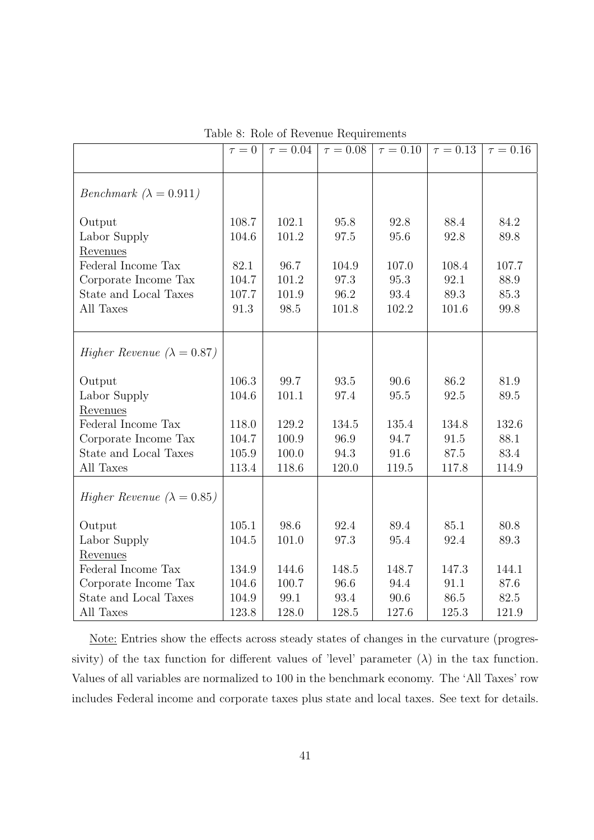|                                      | $\tau = 0$ | $\tau = 0.04$ | $\tau = 0.08$ | $\tau = 0.10$ | $\tau = 0.13$ | $\tau = 0.16$ |
|--------------------------------------|------------|---------------|---------------|---------------|---------------|---------------|
|                                      |            |               |               |               |               |               |
|                                      |            |               |               |               |               |               |
| <i>Benchmark</i> $(\lambda = 0.911)$ |            |               |               |               |               |               |
|                                      |            |               |               |               |               |               |
| Output                               | 108.7      | 102.1         | 95.8          | 92.8          | 88.4          | 84.2          |
| Labor Supply                         | 104.6      | 101.2         | 97.5          | 95.6          | 92.8          | 89.8          |
| Revenues                             |            |               |               |               |               |               |
| Federal Income Tax                   | 82.1       | 96.7          | 104.9         | 107.0         | 108.4         | 107.7         |
| Corporate Income Tax                 | 104.7      | 101.2         | 97.3          | 95.3          | 92.1          | 88.9          |
| State and Local Taxes                | 107.7      | 101.9         | 96.2          | 93.4          | 89.3          | 85.3          |
| All Taxes                            | 91.3       | 98.5          | 101.8         | 102.2         | 101.6         | 99.8          |
|                                      |            |               |               |               |               |               |
|                                      |            |               |               |               |               |               |
| Higher Revenue ( $\lambda = 0.87$ )  |            |               |               |               |               |               |
|                                      |            |               |               |               |               |               |
| Output                               | 106.3      | 99.7          | 93.5          | 90.6          | 86.2          | 81.9          |
| Labor Supply                         | 104.6      | 101.1         | 97.4          | 95.5          | 92.5          | 89.5          |
| Revenues                             |            |               |               |               |               |               |
| Federal Income Tax                   | 118.0      | 129.2         | 134.5         | 135.4         | 134.8         | 132.6         |
| Corporate Income Tax                 | 104.7      | 100.9         | 96.9          | 94.7          | 91.5          | 88.1          |
| State and Local Taxes                | 105.9      | 100.0         | 94.3          | 91.6          | 87.5          | 83.4          |
| All Taxes                            | 113.4      | 118.6         | 120.0         | 119.5         | 117.8         | 114.9         |
|                                      |            |               |               |               |               |               |
| Higher Revenue ( $\lambda = 0.85$ )  |            |               |               |               |               |               |
|                                      |            |               |               |               |               |               |
| Output                               | 105.1      | 98.6          | 92.4          | 89.4          | 85.1          | 80.8          |
| Labor Supply                         | 104.5      | 101.0         | 97.3          | 95.4          | 92.4          | 89.3          |
| Revenues                             |            |               |               |               |               |               |
| Federal Income Tax                   | 134.9      | 144.6         | 148.5         | 148.7         | 147.3         | 144.1         |
| Corporate Income Tax                 | 104.6      | 100.7         | 96.6          | 94.4          | 91.1          | 87.6          |
| State and Local Taxes                | 104.9      | 99.1          | 93.4          | 90.6          | 86.5          | 82.5          |
| All Taxes                            | 123.8      | 128.0         | 128.5         | 127.6         | 125.3         | 121.9         |

Table 8: Role of Revenue Requirements

Note: Entries show the effects across steady states of changes in the curvature (progressivity) of the tax function for different values of 'level' parameter  $(\lambda)$  in the tax function. Values of all variables are normalized to 100 in the benchmark economy. The 'All Taxes' row includes Federal income and corporate taxes plus state and local taxes. See text for details.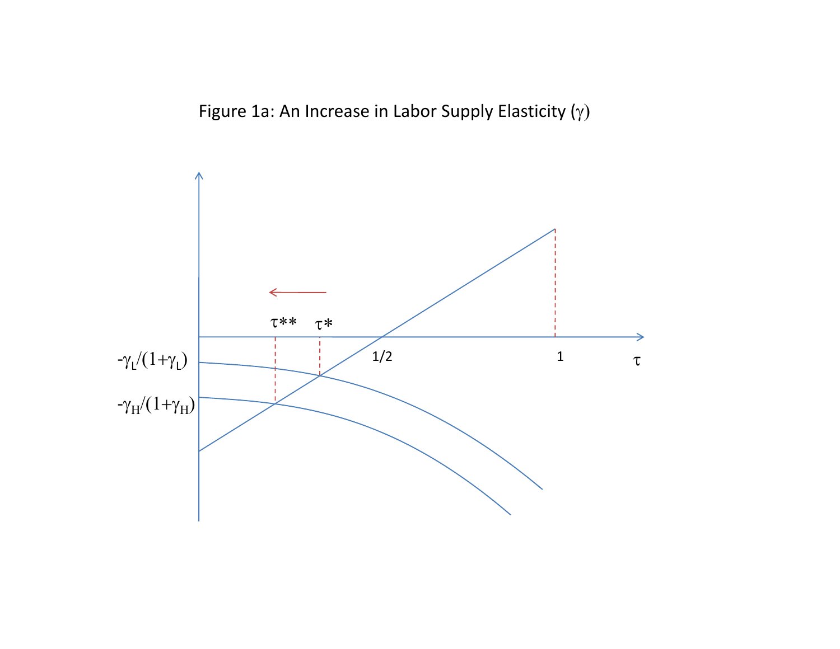Figure 1a: An Increase in Labor Supply Elasticity ( $\gamma$ )

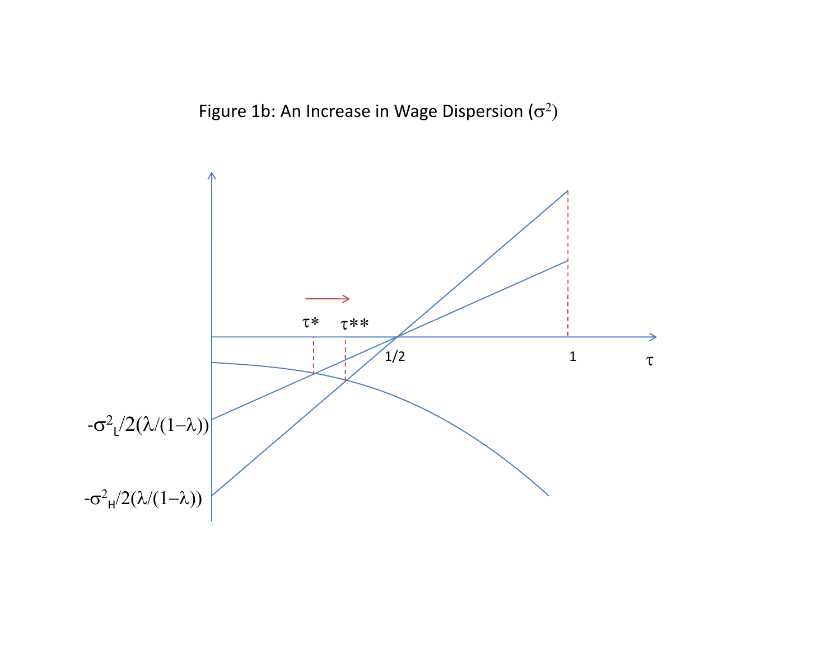Figure 1b: An Increase in Wage Dispersion ( $\sigma^2$ )

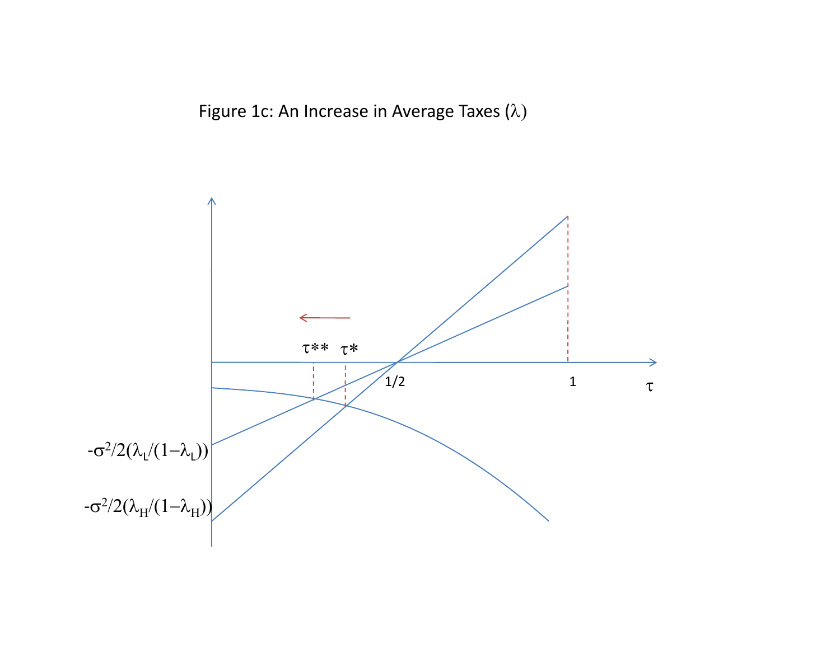Figure 1c: An Increase in Average Taxes ( $\lambda$ )

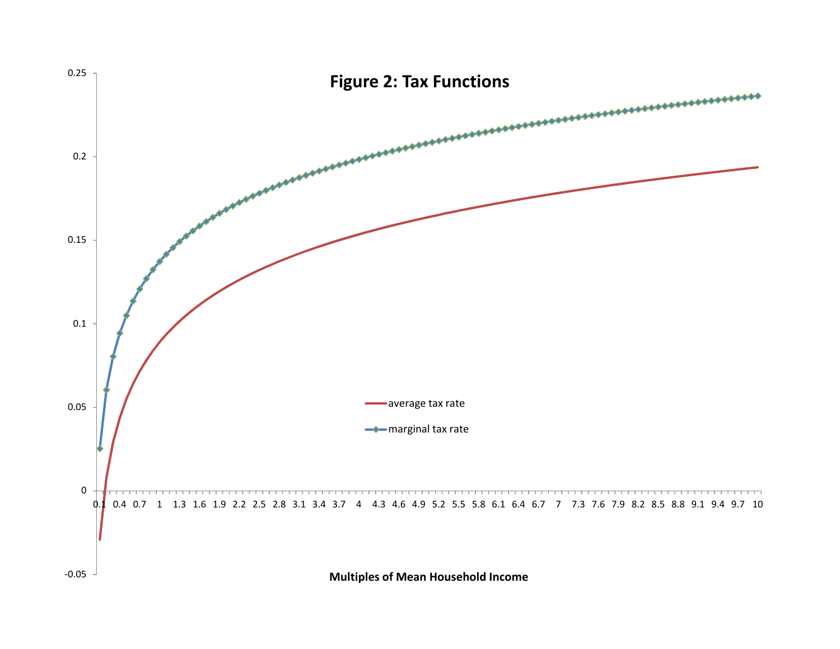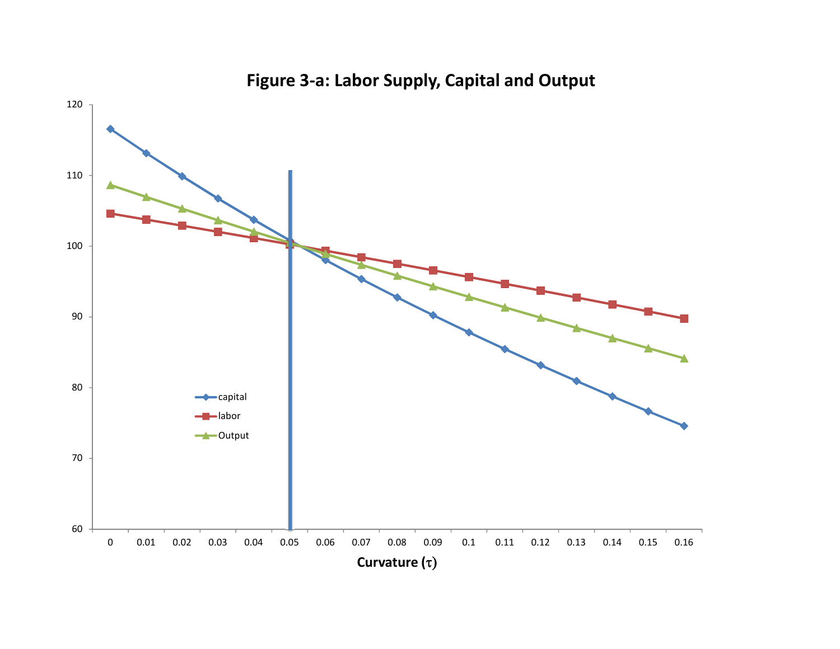

## **Figure 3‐a: Labor Supply, Capital and Output**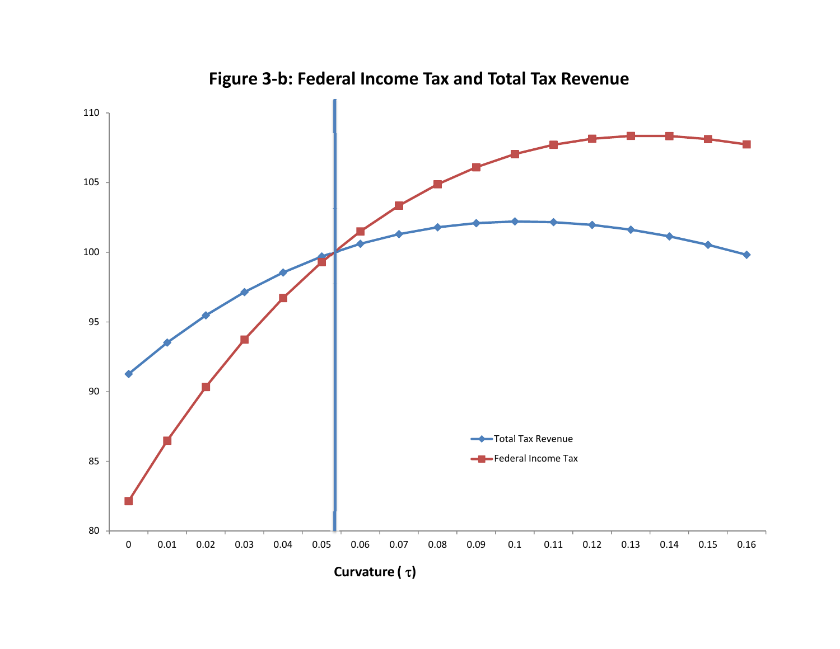

**Figure 3‐b: Federal Income Tax and Total Tax Revenue**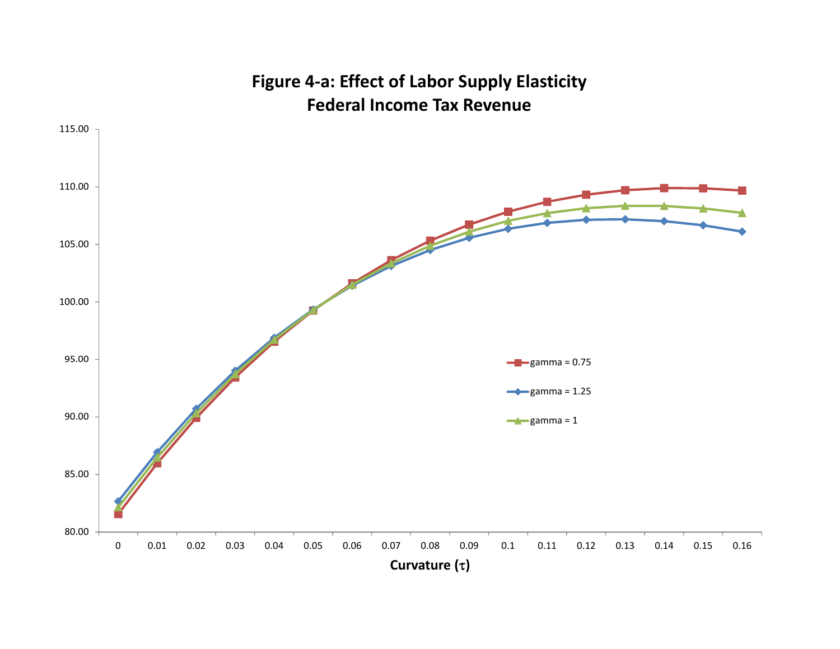

**Figure 4‐a: Effect of Labor Supply Elasticity Federal Income Tax Revenue**